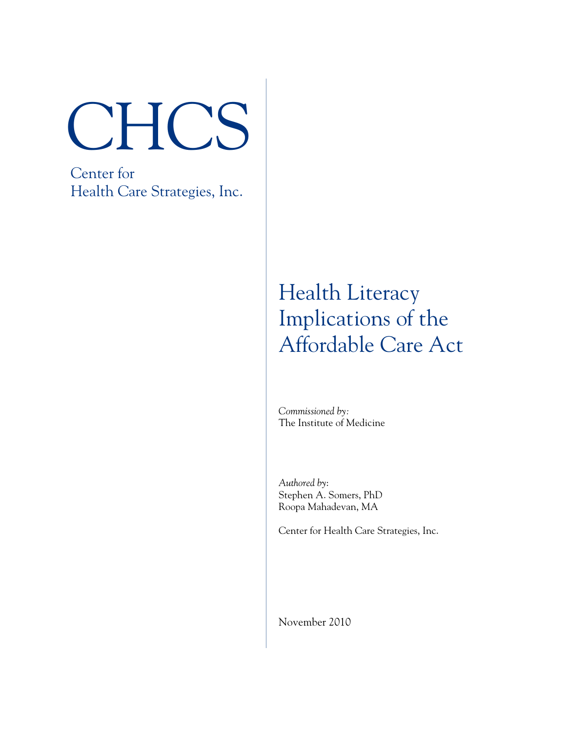CHCS

Center for Health Care Strategies, Inc.

# Health Literacy Implications of the Affordable Care Act

*Commissioned by:*  The Institute of Medicine

*Authored by*: Stephen A. Somers, PhD Roopa Mahadevan, MA

Center for Health Care Strategies, Inc.

November 2010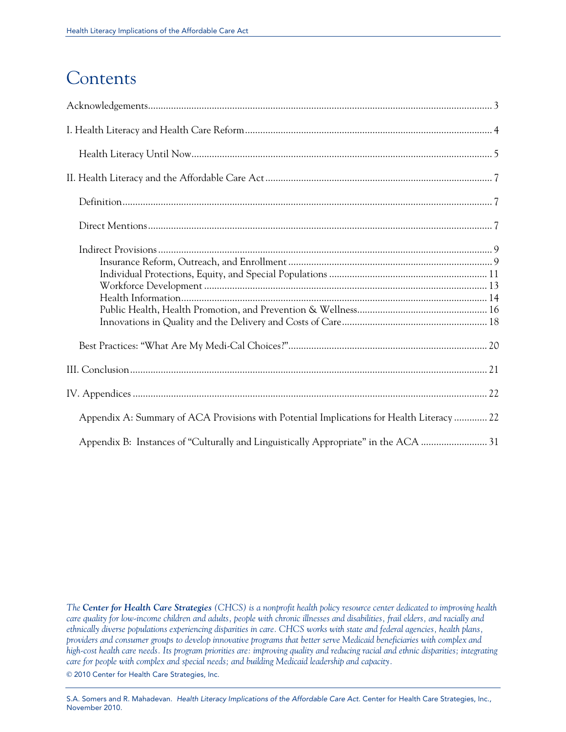## Contents

| Appendix A: Summary of ACA Provisions with Potential Implications for Health Literacy  22 |
|-------------------------------------------------------------------------------------------|
| Appendix B: Instances of "Culturally and Linguistically Appropriate" in the ACA 31        |

*The Center for Health Care Strategies (CHCS) is a nonprofit health policy resource center dedicated to improving health care quality for low-income children and adults, people with chronic illnesses and disabilities, frail elders, and racially and ethnically diverse populations experiencing disparities in care. CHCS works with state and federal agencies, health plans, providers and consumer groups to develop innovative programs that better serve Medicaid beneficiaries with complex and high-cost health care needs. Its program priorities are: improving quality and reducing racial and ethnic disparities; integrating care for people with complex and special needs; and building Medicaid leadership and capacity.*

© 2010 Center for Health Care Strategies, Inc.

S.A. Somers and R. Mahadevan. *Health Literacy Implications of the Affordable Care Act*. Center for Health Care Strategies, Inc., November 2010.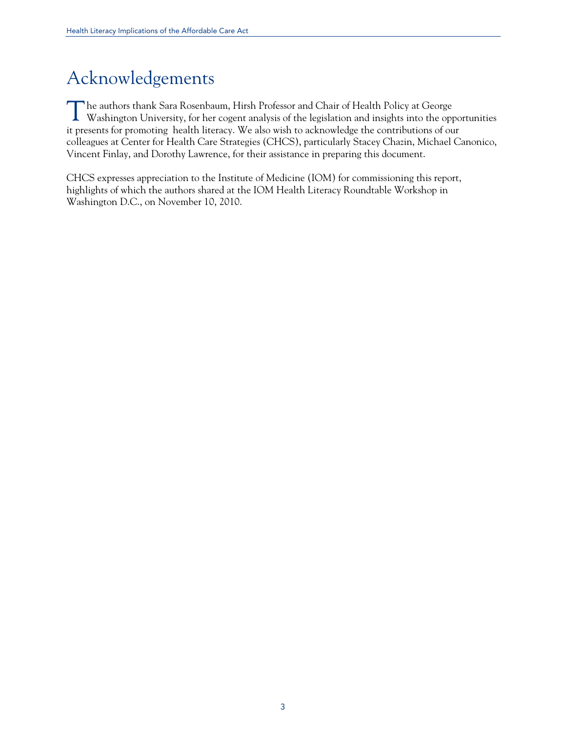## Acknowledgements

The authors thank Sara Rosenbaum, Hirsh Professor and Chair of Health Policy at George<br>Washington University, for her cogent analysis of the legislation and insights into the opp Washington University, for her cogent analysis of the legislation and insights into the opportunities it presents for promoting health literacy. We also wish to acknowledge the contributions of our colleagues at Center for Health Care Strategies (CHCS), particularly Stacey Chazin, Michael Canonico, Vincent Finlay, and Dorothy Lawrence, for their assistance in preparing this document.

CHCS expresses appreciation to the Institute of Medicine (IOM) for commissioning this report, highlights of which the authors shared at the IOM Health Literacy Roundtable Workshop in Washington D.C., on November 10, 2010.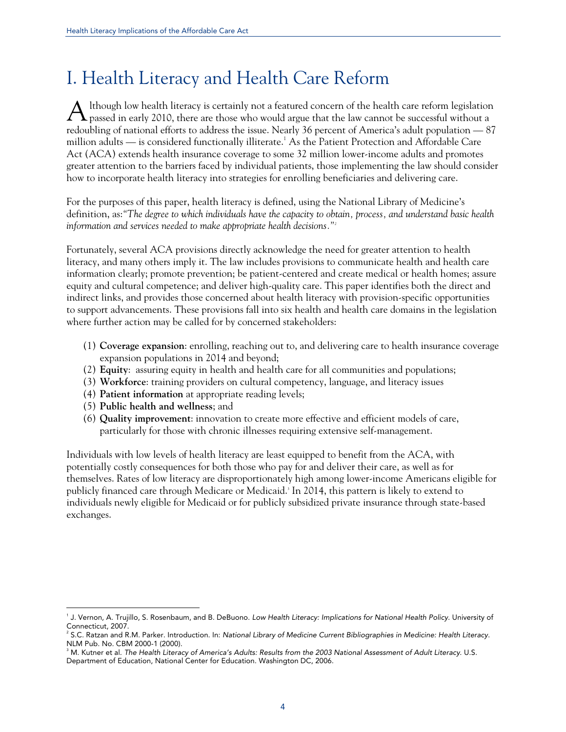## I. Health Literacy and Health Care Reform

lthough low health literacy is certainly not a featured concern of the health care reform legislation A lthough low health literacy is certainly not a featured concern of the health care reform legislation<br>passed in early 2010, there are those who would argue that the law cannot be successful without a redoubling of national efforts to address the issue. Nearly 36 percent of America's adult population — 87 million adults — is considered functionally illiterate. $^1$  As the Patient Protection and Affordable Care Act (ACA) extends health insurance coverage to some 32 million lower-income adults and promotes greater attention to the barriers faced by individual patients, those implementing the law should consider how to incorporate health literacy into strategies for enrolling beneficiaries and delivering care.

For the purposes of this paper, health literacy is defined, using the National Library of Medicine's definition, as:*"The degree to which individuals have the capacity to obtain, process, and understand basic health information and services needed to make appropriate health decisions."2* 

Fortunately, several ACA provisions directly acknowledge the need for greater attention to health literacy, and many others imply it. The law includes provisions to communicate health and health care information clearly; promote prevention; be patient-centered and create medical or health homes; assure equity and cultural competence; and deliver high-quality care. This paper identifies both the direct and indirect links, and provides those concerned about health literacy with provision-specific opportunities to support advancements. These provisions fall into six health and health care domains in the legislation where further action may be called for by concerned stakeholders:

- (1) **Coverage expansion**: enrolling, reaching out to, and delivering care to health insurance coverage expansion populations in 2014 and beyond;
- (2) **Equity**: assuring equity in health and health care for all communities and populations;
- (3) **Workforce**: training providers on cultural competency, language, and literacy issues
- (4) **Patient information** at appropriate reading levels;
- (5) **Public health and wellness**; and
- (6) **Quality improvement**: innovation to create more effective and efficient models of care, particularly for those with chronic illnesses requiring extensive self-management.

Individuals with low levels of health literacy are least equipped to benefit from the ACA, with potentially costly consequences for both those who pay for and deliver their care, as well as for themselves. Rates of low literacy are disproportionately high among lower-income Americans eligible for publicly financed care through Medicare or Medicaid.<sup>3</sup> In 2014, this pattern is likely to extend to individuals newly eligible for Medicaid or for publicly subsidized private insurance through state-based exchanges.

 $\overline{a}$ 1 J. Vernon, A. Trujillo, S. Rosenbaum, and B. DeBuono. *Low Health Literacy: Implications for National Health Policy*. University of Connecticut, 2007.

<sup>2</sup> S.C. Ratzan and R.M. Parker. Introduction. In: *National Library of Medicine Current Bibliographies in Medicine: Health Literacy*. NLM Pub. No. CBM 2000-1 (2000).

 $^{\rm 3}$  M. Kutner et al. *The Health Literacy of America's Adults: Results from the 2003 National Assessment of Adult Literacy.* U.S. Department of Education, National Center for Education. Washington DC, 2006.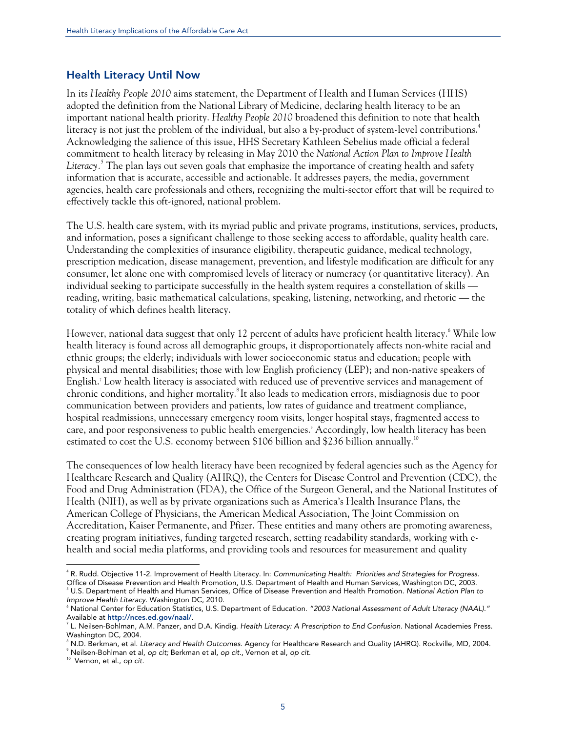#### Health Literacy Until Now

In its *Healthy People 2010* aims statement, the Department of Health and Human Services (HHS) adopted the definition from the National Library of Medicine, declaring health literacy to be an important national health priority. *Healthy People 2010* broadened this definition to note that health literacy is not just the problem of the individual, but also a by-product of system-level contributions.<sup>4</sup> Acknowledging the salience of this issue, HHS Secretary Kathleen Sebelius made official a federal commitment to health literacy by releasing in May 2010 the *National Action Plan to Improve Health Literacy.<sup>5</sup>* The plan lays out seven goals that emphasize the importance of creating health and safety information that is accurate, accessible and actionable. It addresses payers, the media, government agencies, health care professionals and others, recognizing the multi-sector effort that will be required to effectively tackle this oft-ignored, national problem.

The U.S. health care system, with its myriad public and private programs, institutions, services, products, and information, poses a significant challenge to those seeking access to affordable, quality health care. Understanding the complexities of insurance eligibility, therapeutic guidance, medical technology, prescription medication, disease management, prevention, and lifestyle modification are difficult for any consumer, let alone one with compromised levels of literacy or numeracy (or quantitative literacy). An individual seeking to participate successfully in the health system requires a constellation of skills reading, writing, basic mathematical calculations, speaking, listening, networking, and rhetoric — the totality of which defines health literacy.

However, national data suggest that only 12 percent of adults have proficient health literacy.<sup>6</sup> While low health literacy is found across all demographic groups, it disproportionately affects non-white racial and ethnic groups; the elderly; individuals with lower socioeconomic status and education; people with physical and mental disabilities; those with low English proficiency (LEP); and non-native speakers of English.7 Low health literacy is associated with reduced use of preventive services and management of chronic conditions, and higher mortality.<sup>8</sup> It also leads to medication errors, misdiagnosis due to poor communication between providers and patients, low rates of guidance and treatment compliance, hospital readmissions, unnecessary emergency room visits, longer hospital stays, fragmented access to care, and poor responsiveness to public health emergencies.9 Accordingly, low health literacy has been estimated to cost the U.S. economy between \$106 billion and \$236 billion annually.<sup>10</sup>

The consequences of low health literacy have been recognized by federal agencies such as the Agency for Healthcare Research and Quality (AHRQ), the Centers for Disease Control and Prevention (CDC), the Food and Drug Administration (FDA), the Office of the Surgeon General, and the National Institutes of Health (NIH), as well as by private organizations such as America's Health Insurance Plans, the American College of Physicians, the American Medical Association, The Joint Commission on Accreditation, Kaiser Permanente, and Pfizer. These entities and many others are promoting awareness, creating program initiatives, funding targeted research, setting readability standards, working with ehealth and social media platforms, and providing tools and resources for measurement and quality

-

<sup>4</sup> R. Rudd. Objective 11-2. Improvement of Health Literacy. In: *Communicating Health: Priorities and Strategies for Progress*. Office of Disease Prevention and Health Promotion, U.S. Department of Health and Human Services, Washington DC, 2003. 5 U.S. Department of Health and Human Services, Office of Disease Prevention and Health Promotion. *National Action Plan to* 

*Improve Health Literacy*. Washington DC, 2010. National Center for Education Statistics, U.S. Department of Education. *"2003 National Assessment of Adult Literacy (NAAL)."*  Available at http://nces.ed.gov/naal/. 7

L. Neilsen-Bohlman, A.M. Panzer, and D.A. Kindig. *Health Literacy: A Prescription to End Confusion*. National Academies Press. Washington DC, 2004.

<sup>&</sup>lt;sup>8</sup> N.D. Berkman, et al. *Literacy and Health Outcomes.* Agency for Healthcare Research and Quality (AHRQ). Rockville, MD, 2004.<br><sup>9</sup> Nailasa Rakluses at al. en sit: Radures at al. en sit. Versen at al. en sit. Neilsen-Bohlman et al, *op cit;* Berkman et al, *op cit.*, Vernon et al, *op cit.* 

<sup>10</sup> Vernon, et al., *op cit.*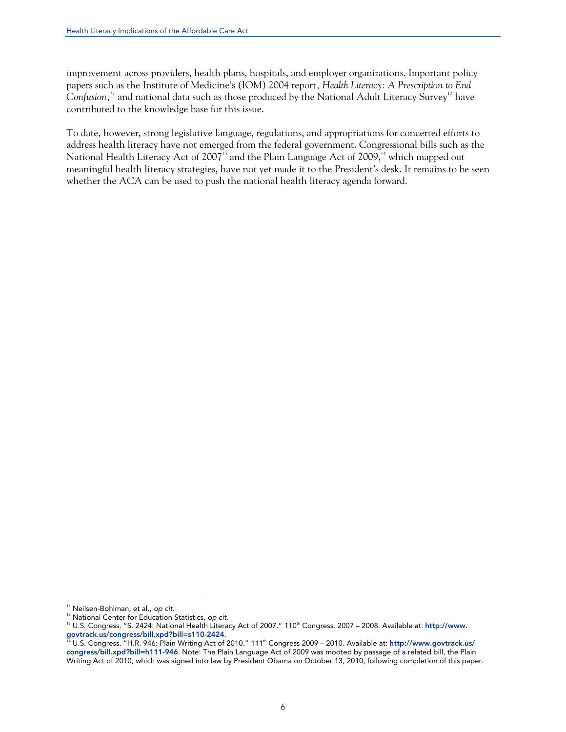improvement across providers, health plans, hospitals, and employer organizations. Important policy papers such as the Institute of Medicine's (IOM) 2004 report*, Health Literacy: A Prescription to End*  Confusion,<sup>11</sup> and national data such as those produced by the National Adult Literacy Survey<sup>12</sup> have contributed to the knowledge base for this issue.

To date, however, strong legislative language, regulations, and appropriations for concerted efforts to address health literacy have not emerged from the federal government. Congressional bills such as the National Health Literacy Act of 2007<sup>13</sup> and the Plain Language Act of 2009,<sup>14</sup> which mapped out meaningful health literacy strategies, have not yet made it to the President's desk. It remains to be seen whether the ACA can be used to push the national health literacy agenda forward.

 $\overline{a}$ 11 Neilsen-Bohlman, et al., *op cit.*

<sup>12</sup> National Center for Education Statistics, *op cit.*

<sup>&</sup>lt;sup>13</sup> U.S. Congress. "S. 2424: National Health Literacy Act of 2007." 110<sup>th</sup> Congress. 2007 – 2008. Available at: http://www. govtrack.us/congress/bill.xpd?bill=s110-2424.<br><sup>14</sup> U.S. Congress. "H.R. 946: Plain Writing Act of 2010." 111<sup>th</sup> Congress 2009 – 2010. Available at: http://www.govtrack.us/

congress/bill.xpd?bill=h111-946. Note: The Plain Language Act of 2009 was mooted by passage of a related bill, the Plain Writing Act of 2010, which was signed into law by President Obama on October 13, 2010, following completion of this paper.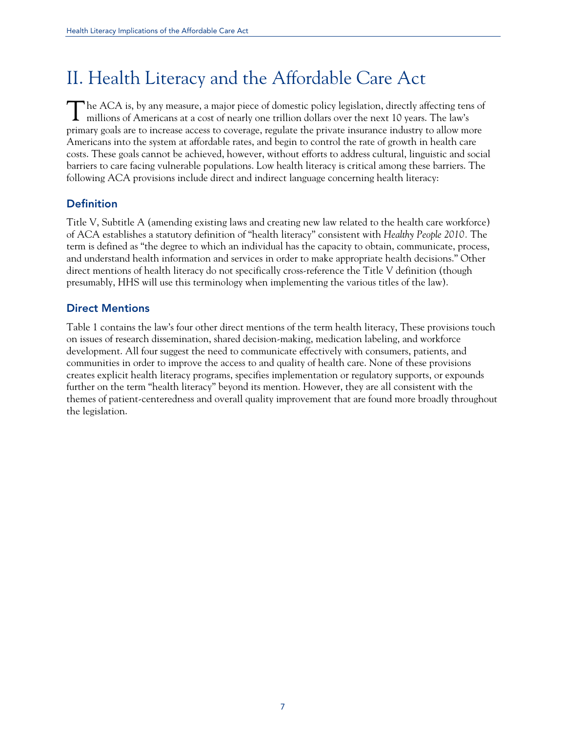## II. Health Literacy and the Affordable Care Act

The ACA is, by any measure, a major piece of domestic policy legislation, directly affecting tens of millions of Americans at a cost of nearly one trillion dollars over the next 10 years. The law's millions of Americans at a cost of nearly one trillion dollars over the next 10 years. The law's primary goals are to increase access to coverage, regulate the private insurance industry to allow more Americans into the system at affordable rates, and begin to control the rate of growth in health care costs. These goals cannot be achieved, however, without efforts to address cultural, linguistic and social barriers to care facing vulnerable populations. Low health literacy is critical among these barriers. The following ACA provisions include direct and indirect language concerning health literacy:

## Definition

Title V, Subtitle A (amending existing laws and creating new law related to the health care workforce) of ACA establishes a statutory definition of "health literacy" consistent with *Healthy People 2010.* The term is defined as "the degree to which an individual has the capacity to obtain, communicate, process, and understand health information and services in order to make appropriate health decisions." Other direct mentions of health literacy do not specifically cross-reference the Title V definition (though presumably, HHS will use this terminology when implementing the various titles of the law).

## Direct Mentions

Table 1 contains the law's four other direct mentions of the term health literacy, These provisions touch on issues of research dissemination, shared decision-making, medication labeling, and workforce development. All four suggest the need to communicate effectively with consumers, patients, and communities in order to improve the access to and quality of health care. None of these provisions creates explicit health literacy programs, specifies implementation or regulatory supports, or expounds further on the term "health literacy" beyond its mention. However, they are all consistent with the themes of patient-centeredness and overall quality improvement that are found more broadly throughout the legislation.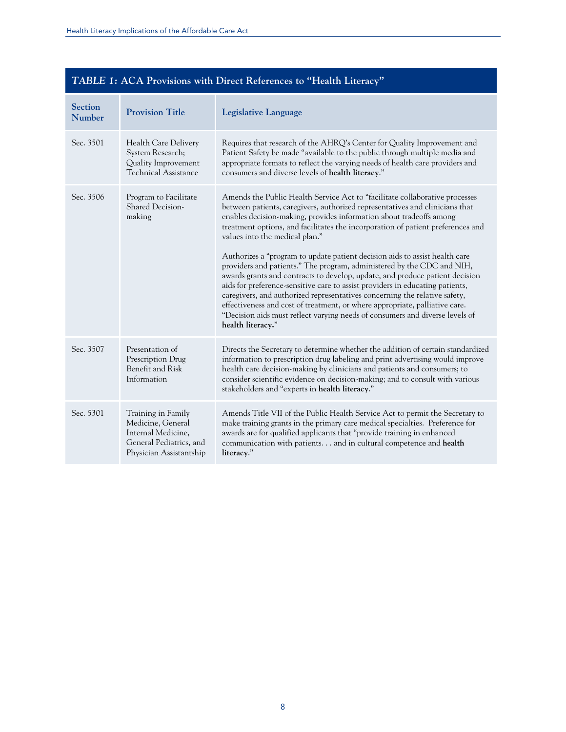| <b>Section</b><br>Number | <b>Provision Title</b>                                                                                              | <b>Legislative Language</b>                                                                                                                                                                                                                                                                                                                                                                                                                                                                                                                                                                                                                                                                                                                                                                                                                                                                                                                         |
|--------------------------|---------------------------------------------------------------------------------------------------------------------|-----------------------------------------------------------------------------------------------------------------------------------------------------------------------------------------------------------------------------------------------------------------------------------------------------------------------------------------------------------------------------------------------------------------------------------------------------------------------------------------------------------------------------------------------------------------------------------------------------------------------------------------------------------------------------------------------------------------------------------------------------------------------------------------------------------------------------------------------------------------------------------------------------------------------------------------------------|
| Sec. 3501                | <b>Health Care Delivery</b><br>System Research;<br>Quality Improvement<br><b>Technical Assistance</b>               | Requires that research of the AHRQ's Center for Quality Improvement and<br>Patient Safety be made "available to the public through multiple media and<br>appropriate formats to reflect the varying needs of health care providers and<br>consumers and diverse levels of health literacy."                                                                                                                                                                                                                                                                                                                                                                                                                                                                                                                                                                                                                                                         |
| Sec. 3506                | Program to Facilitate<br>Shared Decision-<br>making                                                                 | Amends the Public Health Service Act to "facilitate collaborative processes<br>between patients, caregivers, authorized representatives and clinicians that<br>enables decision-making, provides information about tradeoffs among<br>treatment options, and facilitates the incorporation of patient preferences and<br>values into the medical plan."<br>Authorizes a "program to update patient decision aids to assist health care<br>providers and patients." The program, administered by the CDC and NIH,<br>awards grants and contracts to develop, update, and produce patient decision<br>aids for preference-sensitive care to assist providers in educating patients,<br>caregivers, and authorized representatives concerning the relative safety,<br>effectiveness and cost of treatment, or where appropriate, palliative care.<br>"Decision aids must reflect varying needs of consumers and diverse levels of<br>health literacy." |
| Sec. 3507                | Presentation of<br>Prescription Drug<br>Benefit and Risk<br>Information                                             | Directs the Secretary to determine whether the addition of certain standardized<br>information to prescription drug labeling and print advertising would improve<br>health care decision-making by clinicians and patients and consumers; to<br>consider scientific evidence on decision-making; and to consult with various<br>stakeholders and "experts in health literacy."                                                                                                                                                                                                                                                                                                                                                                                                                                                                                                                                                                      |
| Sec. 5301                | Training in Family<br>Medicine, General<br>Internal Medicine,<br>General Pediatrics, and<br>Physician Assistantship | Amends Title VII of the Public Health Service Act to permit the Secretary to<br>make training grants in the primary care medical specialties. Preference for<br>awards are for qualified applicants that "provide training in enhanced<br>communication with patients. and in cultural competence and health<br>literacy."                                                                                                                                                                                                                                                                                                                                                                                                                                                                                                                                                                                                                          |

## *TABLE 1:* **ACA Provisions with Direct References to "Health Literacy"**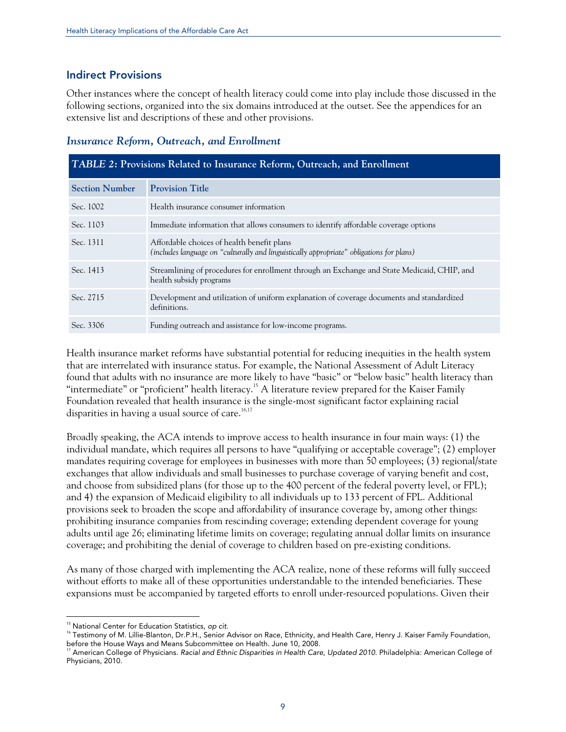#### Indirect Provisions

Other instances where the concept of health literacy could come into play include those discussed in the following sections, organized into the six domains introduced at the outset. See the appendices for an extensive list and descriptions of these and other provisions.

#### *Insurance Reform, Outreach, and Enrollment*

| TABLE 2: Provisions Related to Insurance Reform, Outreach, and Enrollment |                                                                                                                                        |
|---------------------------------------------------------------------------|----------------------------------------------------------------------------------------------------------------------------------------|
| <b>Section Number</b>                                                     | <b>Provision Title</b>                                                                                                                 |
| Sec. 1002                                                                 | Health insurance consumer information                                                                                                  |
| Sec. 1103                                                                 | Immediate information that allows consumers to identify affordable coverage options                                                    |
| Sec. 1311                                                                 | Affordable choices of health benefit plans<br>(includes language on "culturally and linguistically appropriate" obligations for plans) |
| Sec. 1413                                                                 | Streamlining of procedures for enrollment through an Exchange and State Medicaid, CHIP, and<br>health subsidy programs                 |
| Sec. 2715                                                                 | Development and utilization of uniform explanation of coverage documents and standardized<br>definitions.                              |
| Sec. 3306                                                                 | Funding outreach and assistance for low-income programs.                                                                               |

Health insurance market reforms have substantial potential for reducing inequities in the health system that are interrelated with insurance status. For example, the National Assessment of Adult Literacy found that adults with no insurance are more likely to have "basic" or "below basic" health literacy than "intermediate" or "proficient" health literacy.<sup>15</sup> A literature review prepared for the Kaiser Family Foundation revealed that health insurance is the single-most significant factor explaining racial disparities in having a usual source of care.<sup>16,17</sup>

Broadly speaking, the ACA intends to improve access to health insurance in four main ways: (1) the individual mandate, which requires all persons to have "qualifying or acceptable coverage"; (2) employer mandates requiring coverage for employees in businesses with more than 50 employees; (3) regional/state exchanges that allow individuals and small businesses to purchase coverage of varying benefit and cost, and choose from subsidized plans (for those up to the 400 percent of the federal poverty level, or FPL); and 4) the expansion of Medicaid eligibility to all individuals up to 133 percent of FPL. Additional provisions seek to broaden the scope and affordability of insurance coverage by, among other things: prohibiting insurance companies from rescinding coverage; extending dependent coverage for young adults until age 26; eliminating lifetime limits on coverage; regulating annual dollar limits on insurance coverage; and prohibiting the denial of coverage to children based on pre-existing conditions.

As many of those charged with implementing the ACA realize, none of these reforms will fully succeed without efforts to make all of these opportunities understandable to the intended beneficiaries. These expansions must be accompanied by targeted efforts to enroll under-resourced populations. Given their

1

<sup>15</sup> National Center for Education Statistics, *op cit.*

<sup>&</sup>lt;sup>16</sup> Testimony of M. Lillie-Blanton, Dr.P.H., Senior Advisor on Race, Ethnicity, and Health Care, Henry J. Kaiser Family Foundation, before the House Ways and Means Subcommittee on Health. June 10, 2008.

<sup>17</sup> American College of Physicians. *Racial and Ethnic Disparities in Health Care*, *Updated 2010*. Philadelphia: American College of Physicians, 2010.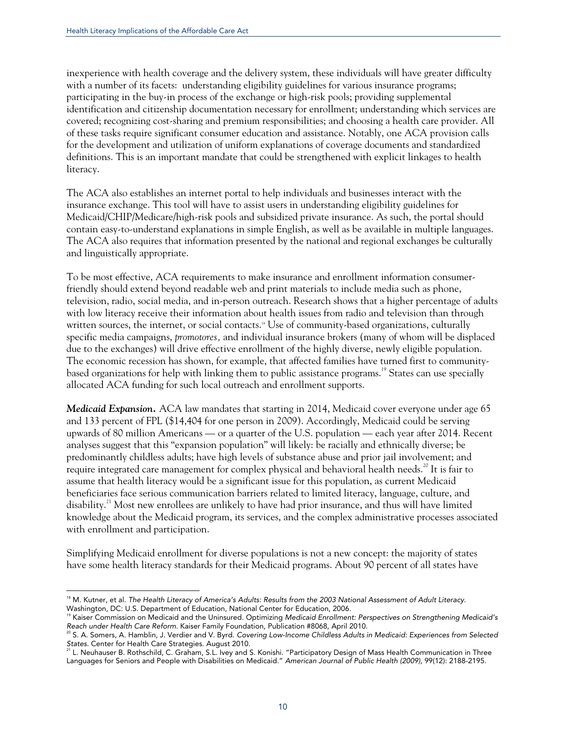inexperience with health coverage and the delivery system, these individuals will have greater difficulty with a number of its facets: understanding eligibility guidelines for various insurance programs; participating in the buy-in process of the exchange or high-risk pools; providing supplemental identification and citizenship documentation necessary for enrollment; understanding which services are covered; recognizing cost-sharing and premium responsibilities; and choosing a health care provider. All of these tasks require significant consumer education and assistance. Notably, one ACA provision calls for the development and utilization of uniform explanations of coverage documents and standardized definitions. This is an important mandate that could be strengthened with explicit linkages to health literacy.

The ACA also establishes an internet portal to help individuals and businesses interact with the insurance exchange. This tool will have to assist users in understanding eligibility guidelines for Medicaid/CHIP/Medicare/high-risk pools and subsidized private insurance. As such, the portal should contain easy-to-understand explanations in simple English, as well as be available in multiple languages. The ACA also requires that information presented by the national and regional exchanges be culturally and linguistically appropriate.

To be most effective, ACA requirements to make insurance and enrollment information consumerfriendly should extend beyond readable web and print materials to include media such as phone, television, radio, social media, and in-person outreach. Research shows that a higher percentage of adults with low literacy receive their information about health issues from radio and television than through written sources, the internet, or social contacts.<sup>18</sup> Use of community-based organizations, culturally specific media campaigns, *promotores,* and individual insurance brokers (many of whom will be displaced due to the exchanges) will drive effective enrollment of the highly diverse, newly eligible population. The economic recession has shown, for example, that affected families have turned first to communitybased organizations for help with linking them to public assistance programs.<sup>19</sup> States can use specially allocated ACA funding for such local outreach and enrollment supports.

*Medicaid Expansion.* ACA law mandates that starting in 2014, Medicaid cover everyone under age 65 and 133 percent of FPL (\$14,404 for one person in 2009). Accordingly, Medicaid could be serving upwards of 80 million Americans — or a quarter of the U.S. population — each year after 2014. Recent analyses suggest that this "expansion population" will likely: be racially and ethnically diverse; be predominantly childless adults; have high levels of substance abuse and prior jail involvement; and require integrated care management for complex physical and behavioral health needs.<sup>20</sup> It is fair to assume that health literacy would be a significant issue for this population, as current Medicaid beneficiaries face serious communication barriers related to limited literacy, language, culture, and disability.<sup>21</sup> Most new enrollees are unlikely to have had prior insurance, and thus will have limited knowledge about the Medicaid program, its services, and the complex administrative processes associated with enrollment and participation.

Simplifying Medicaid enrollment for diverse populations is not a new concept: the majority of states have some health literacy standards for their Medicaid programs. About 90 percent of all states have

<sup>1</sup> 18 M. Kutner, et al. *The Health Literacy of America's Adults: Results from the 2003 National Assessment of Adult Literacy.* Washington, DC: U.S. Department of Education, National Center for Education, 2006.

<sup>&</sup>lt;sup>19</sup> Kaiser Commission on Medicaid and the Uninsured. Optimizing *Medicaid Enrollment: Perspectives on Strengthening Medicaid's*<br>Reach under Health Care Reform. Kaiser Family Foundation, Publication #8068, April 2010.

<sup>&</sup>lt;sup>20</sup> S. A. Somers, A. Hamblin, J. Verdier and V. Byrd. Covering Low-Income Childless Adults in Medicaid: Experiences from Selected<br>States. Center for Health Care Strategies. August 2010.

L. Neuhauser B. Rothschild, C. Graham, S.L. Ivey and S. Konishi. "Participatory Design of Mass Health Communication in Three Languages for Seniors and People with Disabilities on Medicaid." *American Journal of Public Health (2009),* 99(12): 2188-2195.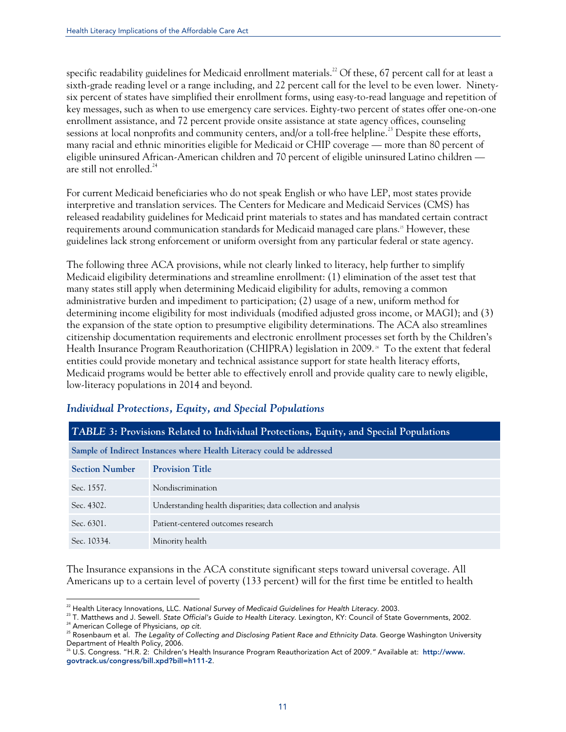specific readability guidelines for Medicaid enrollment materials.<sup>22</sup> Of these, 67 percent call for at least a sixth-grade reading level or a range including, and 22 percent call for the level to be even lower. Ninetysix percent of states have simplified their enrollment forms, using easy-to-read language and repetition of key messages, such as when to use emergency care services. Eighty-two percent of states offer one-on-one enrollment assistance, and 72 percent provide onsite assistance at state agency offices, counseling sessions at local nonprofits and community centers, and/or a toll-free helpline.<sup>23</sup> Despite these efforts, many racial and ethnic minorities eligible for Medicaid or CHIP coverage — more than 80 percent of eligible uninsured African-American children and 70 percent of eligible uninsured Latino children are still not enrolled.<sup>24</sup>

For current Medicaid beneficiaries who do not speak English or who have LEP, most states provide interpretive and translation services. The Centers for Medicare and Medicaid Services (CMS) has released readability guidelines for Medicaid print materials to states and has mandated certain contract requirements around communication standards for Medicaid managed care plans.<sup>25</sup> However, these guidelines lack strong enforcement or uniform oversight from any particular federal or state agency.

The following three ACA provisions, while not clearly linked to literacy, help further to simplify Medicaid eligibility determinations and streamline enrollment: (1) elimination of the asset test that many states still apply when determining Medicaid eligibility for adults, removing a common administrative burden and impediment to participation; (2) usage of a new, uniform method for determining income eligibility for most individuals (modified adjusted gross income, or MAGI); and (3) the expansion of the state option to presumptive eligibility determinations. The ACA also streamlines citizenship documentation requirements and electronic enrollment processes set forth by the Children's Health Insurance Program Reauthorization (CHIPRA) legislation in 2009.<sup>26</sup> To the extent that federal entities could provide monetary and technical assistance support for state health literacy efforts, Medicaid programs would be better able to effectively enroll and provide quality care to newly eligible, low-literacy populations in 2014 and beyond.

| <b>TABLE 3: Provisions Related to Individual Protections, Equity, and Special Populations</b> |                                                                |  |
|-----------------------------------------------------------------------------------------------|----------------------------------------------------------------|--|
| Sample of Indirect Instances where Health Literacy could be addressed                         |                                                                |  |
| <b>Section Number</b>                                                                         | <b>Provision Title</b>                                         |  |
| Sec. 1557.                                                                                    | Nondiscrimination                                              |  |
| Sec. 4302.                                                                                    | Understanding health disparities; data collection and analysis |  |
| Sec. 6301.                                                                                    | Patient-centered outcomes research                             |  |
| Sec. 10334.                                                                                   | Minority health                                                |  |

### *Individual Protections, Equity, and Special Populations*

The Insurance expansions in the ACA constitute significant steps toward universal coverage. All Americans up to a certain level of poverty (133 percent) will for the first time be entitled to health

<sup>1</sup> 

<sup>&</sup>lt;sup>22</sup> Health Literacy Innovations, LLC. National Survey of Medicaid Guidelines for Health Literacy. 2003.<br><sup>23</sup> T. Matthews and J. Sewell. *State Official's Guide to Health Literacy*. Lexington, KY: Council of State Governm

<sup>25</sup> Rosenbaum et al. *The Legality of Collecting and Disclosing Patient Race and Ethnicity Data.* George Washington University Department of Health Policy, 2006.

<sup>26</sup> U.S. Congress. "H.R. 2: Children's Health Insurance Program Reauthorization Act of 2009*."* Available at: http://www. govtrack.us/congress/bill.xpd?bill=h111-2.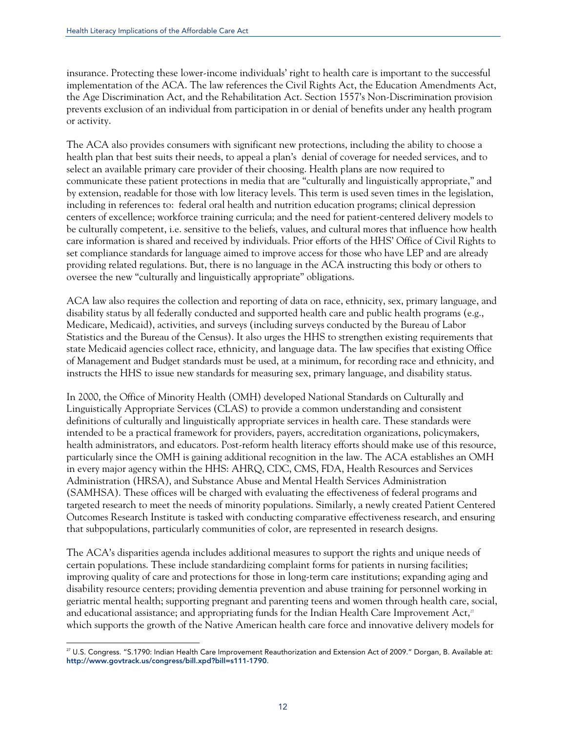insurance. Protecting these lower-income individuals' right to health care is important to the successful implementation of the ACA. The law references the Civil Rights Act, the Education Amendments Act, the Age Discrimination Act, and the Rehabilitation Act. Section 1557's Non-Discrimination provision prevents exclusion of an individual from participation in or denial of benefits under any health program or activity.

The ACA also provides consumers with significant new protections, including the ability to choose a health plan that best suits their needs, to appeal a plan's denial of coverage for needed services, and to select an available primary care provider of their choosing. Health plans are now required to communicate these patient protections in media that are "culturally and linguistically appropriate," and by extension, readable for those with low literacy levels. This term is used seven times in the legislation, including in references to: federal oral health and nutrition education programs; clinical depression centers of excellence; workforce training curricula; and the need for patient-centered delivery models to be culturally competent, i.e. sensitive to the beliefs, values, and cultural mores that influence how health care information is shared and received by individuals. Prior efforts of the HHS' Office of Civil Rights to set compliance standards for language aimed to improve access for those who have LEP and are already providing related regulations. But, there is no language in the ACA instructing this body or others to oversee the new "culturally and linguistically appropriate" obligations.

ACA law also requires the collection and reporting of data on race, ethnicity, sex, primary language, and disability status by all federally conducted and supported health care and public health programs (e.g., Medicare, Medicaid), activities, and surveys (including surveys conducted by the Bureau of Labor Statistics and the Bureau of the Census). It also urges the HHS to strengthen existing requirements that state Medicaid agencies collect race, ethnicity, and language data. The law specifies that existing Office of Management and Budget standards must be used, at a minimum, for recording race and ethnicity, and instructs the HHS to issue new standards for measuring sex, primary language, and disability status.

In 2000, the Office of Minority Health (OMH) developed National Standards on Culturally and Linguistically Appropriate Services (CLAS) to provide a common understanding and consistent definitions of culturally and linguistically appropriate services in health care. These standards were intended to be a practical framework for providers, payers, accreditation organizations, policymakers, health administrators, and educators. Post-reform health literacy efforts should make use of this resource, particularly since the OMH is gaining additional recognition in the law. The ACA establishes an OMH in every major agency within the HHS: AHRQ, CDC, CMS, FDA, Health Resources and Services Administration (HRSA), and Substance Abuse and Mental Health Services Administration (SAMHSA). These offices will be charged with evaluating the effectiveness of federal programs and targeted research to meet the needs of minority populations. Similarly, a newly created Patient Centered Outcomes Research Institute is tasked with conducting comparative effectiveness research, and ensuring that subpopulations, particularly communities of color, are represented in research designs.

The ACA's disparities agenda includes additional measures to support the rights and unique needs of certain populations. These include standardizing complaint forms for patients in nursing facilities; improving quality of care and protections for those in long-term care institutions; expanding aging and disability resource centers; providing dementia prevention and abuse training for personnel working in geriatric mental health; supporting pregnant and parenting teens and women through health care, social, and educational assistance; and appropriating funds for the Indian Health Care Improvement  $Act$ , $i$ <sup>n</sup> which supports the growth of the Native American health care force and innovative delivery models for

<sup>-</sup> $^{27}$  U.S. Congress. "S.1790: Indian Health Care Improvement Reauthorization and Extension Act of 2009." Dorgan, B. Available at: http://www.govtrack.us/congress/bill.xpd?bill=s111-1790.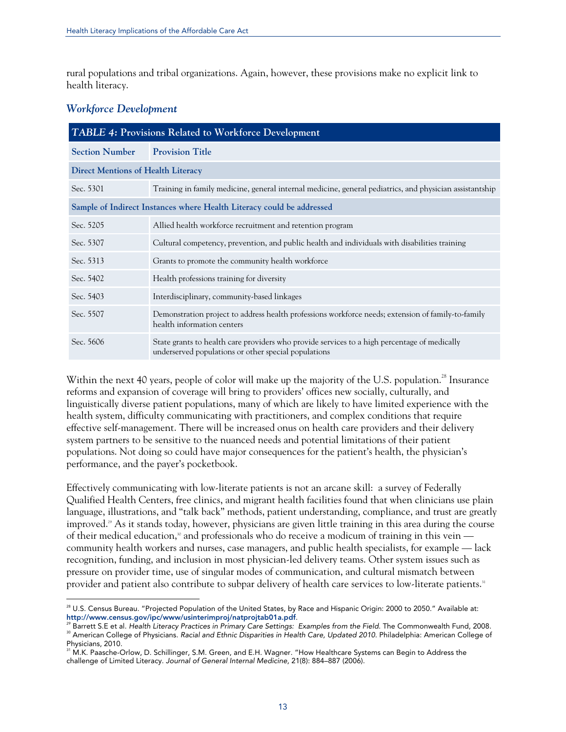rural populations and tribal organizations. Again, however, these provisions make no explicit link to health literacy.

#### *Workforce Development*

| TABLE 4: Provisions Related to Workforce Development                  |                                                                                                                                                      |  |
|-----------------------------------------------------------------------|------------------------------------------------------------------------------------------------------------------------------------------------------|--|
| <b>Section Number</b>                                                 | <b>Provision Title</b>                                                                                                                               |  |
| <b>Direct Mentions of Health Literacy</b>                             |                                                                                                                                                      |  |
| Sec. 5301                                                             | Training in family medicine, general internal medicine, general pediatrics, and physician assistantship                                              |  |
| Sample of Indirect Instances where Health Literacy could be addressed |                                                                                                                                                      |  |
| Sec. 5205                                                             | Allied health workforce recruitment and retention program                                                                                            |  |
| Sec. 5307                                                             | Cultural competency, prevention, and public health and individuals with disabilities training                                                        |  |
| Sec. 5313                                                             | Grants to promote the community health workforce                                                                                                     |  |
| Sec. 5402                                                             | Health professions training for diversity                                                                                                            |  |
| Sec. 5403                                                             | Interdisciplinary, community-based linkages                                                                                                          |  |
| Sec. 5507                                                             | Demonstration project to address health professions workforce needs; extension of family-to-family<br>health information centers                     |  |
| Sec. 5606                                                             | State grants to health care providers who provide services to a high percentage of medically<br>underserved populations or other special populations |  |

Within the next 40 years, people of color will make up the majority of the U.S. population.<sup>28</sup> Insurance reforms and expansion of coverage will bring to providers' offices new socially, culturally, and linguistically diverse patient populations, many of which are likely to have limited experience with the health system, difficulty communicating with practitioners, and complex conditions that require effective self-management. There will be increased onus on health care providers and their delivery system partners to be sensitive to the nuanced needs and potential limitations of their patient populations. Not doing so could have major consequences for the patient's health, the physician's performance, and the payer's pocketbook.

Effectively communicating with low-literate patients is not an arcane skill: a survey of Federally Qualified Health Centers, free clinics, and migrant health facilities found that when clinicians use plain language, illustrations, and "talk back" methods, patient understanding, compliance, and trust are greatly improved.<sup>29</sup> As it stands today, however, physicians are given little training in this area during the course of their medical education, $^*$  and professionals who do receive a modicum of training in this vein community health workers and nurses, case managers, and public health specialists, for example — lack recognition, funding, and inclusion in most physician-led delivery teams. Other system issues such as pressure on provider time, use of singular modes of communication, and cultural mismatch between provider and patient also contribute to subpar delivery of health care services to low-literate patients.<sup>31</sup>

<sup>1</sup> <sup>28</sup> U.S. Census Bureau. "Projected Population of the United States, by Race and Hispanic Origin: 2000 to 2050." Available at:<br>http://www.census.gov/ipc/www/usinterimproj/natprojtab01a.pdf.

<sup>&</sup>lt;sup>29</sup> Barrett S.E et al. *Health Literacy Practices in Primary Care Settings: Examples from the Field. The Commonwealth Fund, 2008.<br><sup>30</sup> American College of Physicians. <i>Racial and Ethnic Disparities in Health Care, Updated* Physicians, 2010.

 $^{\rm 31}$  M.K. Paasche-Orlow, D. Schillinger, S.M. Green, and E.H. Wagner. "How Healthcare Systems can Begin to Address the challenge of Limited Literacy. *Journal of General Internal Medicine,* 21(8): 884–887 (2006).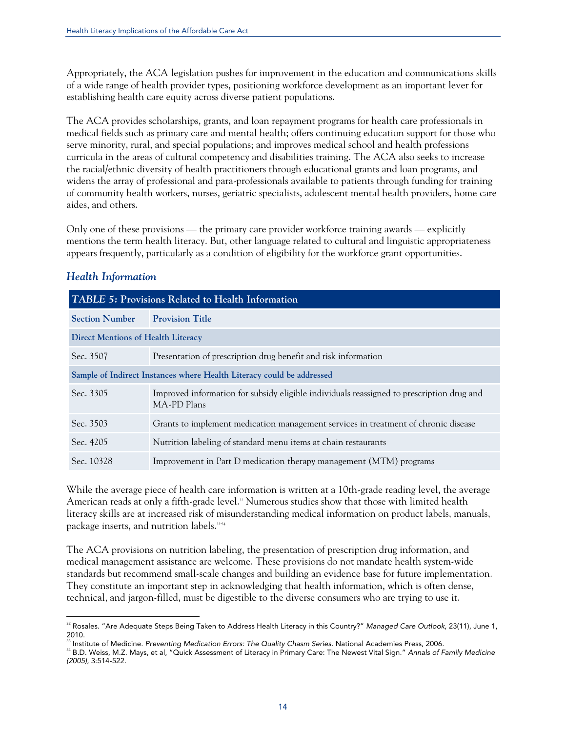Appropriately, the ACA legislation pushes for improvement in the education and communications skills of a wide range of health provider types, positioning workforce development as an important lever for establishing health care equity across diverse patient populations.

The ACA provides scholarships, grants, and loan repayment programs for health care professionals in medical fields such as primary care and mental health; offers continuing education support for those who serve minority, rural, and special populations; and improves medical school and health professions curricula in the areas of cultural competency and disabilities training. The ACA also seeks to increase the racial/ethnic diversity of health practitioners through educational grants and loan programs, and widens the array of professional and para-professionals available to patients through funding for training of community health workers, nurses, geriatric specialists, adolescent mental health providers, home care aides, and others.

Only one of these provisions — the primary care provider workforce training awards — explicitly mentions the term health literacy. But, other language related to cultural and linguistic appropriateness appears frequently, particularly as a condition of eligibility for the workforce grant opportunities.

## *Health Information*

| <b>TABLE 5: Provisions Related to Health Information</b>              |                                                                                                          |  |
|-----------------------------------------------------------------------|----------------------------------------------------------------------------------------------------------|--|
| <b>Section Number</b>                                                 | <b>Provision Title</b>                                                                                   |  |
| <b>Direct Mentions of Health Literacy</b>                             |                                                                                                          |  |
| Sec. 3507                                                             | Presentation of prescription drug benefit and risk information                                           |  |
| Sample of Indirect Instances where Health Literacy could be addressed |                                                                                                          |  |
| Sec. 3305                                                             | Improved information for subsidy eligible individuals reassigned to prescription drug and<br>MA-PD Plans |  |
| Sec. 3503                                                             | Grants to implement medication management services in treatment of chronic disease                       |  |
| Sec. 4205                                                             | Nutrition labeling of standard menu items at chain restaurants                                           |  |
| Sec. 10328                                                            | Improvement in Part D medication therapy management (MTM) programs                                       |  |

While the average piece of health care information is written at a 10th-grade reading level, the average American reads at only a fifth-grade level.<sup>32</sup> Numerous studies show that those with limited health literacy skills are at increased risk of misunderstanding medical information on product labels, manuals, package inserts, and nutrition labels.<sup>3334</sup>

The ACA provisions on nutrition labeling, the presentation of prescription drug information, and medical management assistance are welcome. These provisions do not mandate health system-wide standards but recommend small-scale changes and building an evidence base for future implementation. They constitute an important step in acknowledging that health information, which is often dense, technical, and jargon-filled, must be digestible to the diverse consumers who are trying to use it.

<sup>-</sup>32 Rosales. "Are Adequate Steps Being Taken to Address Health Literacy in this Country?" *Managed Care Outlook,* 23(11), June 1, 2010.

<sup>&</sup>lt;sup>33</sup> Institute of Medicine. *Preventing Medication Errors: The Quality Chasm Series.* National Academies Press, 2006.<br><sup>34</sup> B.D. Weiss, M.Z. Mays, et al, "Quick Assessment of Literacy in Primary Care: The Newest Vital Sign. *(2005)*, 3:514-522.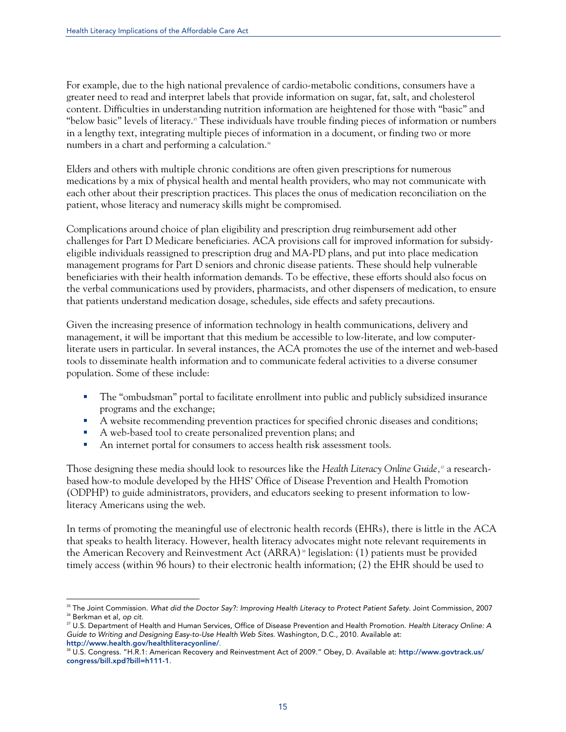For example, due to the high national prevalence of cardio-metabolic conditions, consumers have a greater need to read and interpret labels that provide information on sugar, fat, salt, and cholesterol content. Difficulties in understanding nutrition information are heightened for those with "basic" and "below basic" levels of literacy.<sup>35</sup> These individuals have trouble finding pieces of information or numbers in a lengthy text, integrating multiple pieces of information in a document, or finding two or more numbers in a chart and performing a calculation.<sup>36</sup>

Elders and others with multiple chronic conditions are often given prescriptions for numerous medications by a mix of physical health and mental health providers, who may not communicate with each other about their prescription practices. This places the onus of medication reconciliation on the patient, whose literacy and numeracy skills might be compromised.

Complications around choice of plan eligibility and prescription drug reimbursement add other challenges for Part D Medicare beneficiaries. ACA provisions call for improved information for subsidyeligible individuals reassigned to prescription drug and MA-PD plans, and put into place medication management programs for Part D seniors and chronic disease patients. These should help vulnerable beneficiaries with their health information demands. To be effective, these efforts should also focus on the verbal communications used by providers, pharmacists, and other dispensers of medication, to ensure that patients understand medication dosage, schedules, side effects and safety precautions.

Given the increasing presence of information technology in health communications, delivery and management, it will be important that this medium be accessible to low-literate, and low computerliterate users in particular. In several instances, the ACA promotes the use of the internet and web-based tools to disseminate health information and to communicate federal activities to a diverse consumer population. Some of these include:

- The "ombudsman" portal to facilitate enrollment into public and publicly subsidized insurance programs and the exchange;
- A website recommending prevention practices for specified chronic diseases and conditions;
- A web-based tool to create personalized prevention plans; and
- An internet portal for consumers to access health risk assessment tools.

Those designing these media should look to resources like the *Health Literacy Online Guide*,<sup>37</sup> a researchbased how-to module developed by the HHS' Office of Disease Prevention and Health Promotion (ODPHP) to guide administrators, providers, and educators seeking to present information to lowliteracy Americans using the web.

In terms of promoting the meaningful use of electronic health records (EHRs), there is little in the ACA that speaks to health literacy. However, health literacy advocates might note relevant requirements in the American Recovery and Reinvestment Act  $(ARRA)$ <sup>38</sup> legislation: (1) patients must be provided timely access (within 96 hours) to their electronic health information; (2) the EHR should be used to

<sup>-</sup><sup>35</sup> The Joint Commission. *What did the Doctor Say?: Improving Health Literacy to Protect Patient Safety. Joint Commission, 2007*<br><sup>36</sup> Berkman et al, *op cit.* 

<sup>37</sup> U.S. Department of Health and Human Services, Office of Disease Prevention and Health Promotion. *Health Literacy Online: A Guide to Writing and Designing Easy-to-Use Health Web Sites.* Washington, D.C., 2010. Available at: http://www.health.gov/healthliteracyonline/.

<sup>38</sup> U.S. Congress. "H.R.1: American Recovery and Reinvestment Act of 2009." Obey, D. Available at: http://www.govtrack.us/ congress/bill.xpd?bill=h111-1.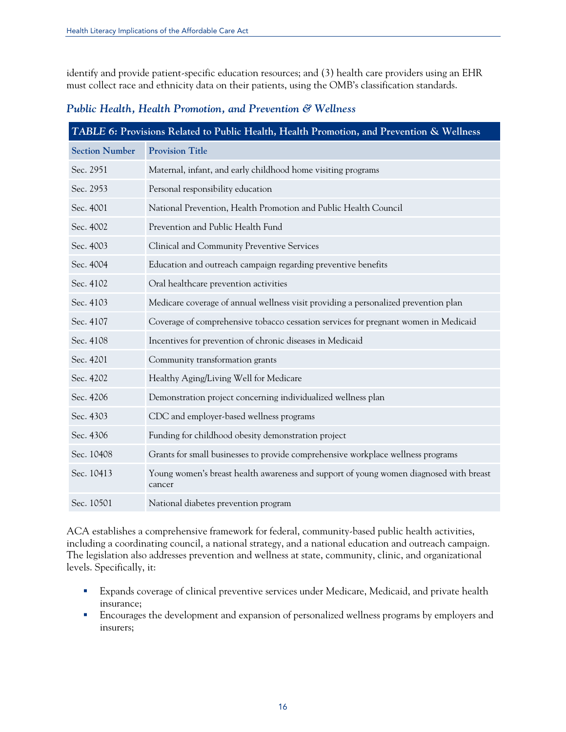identify and provide patient-specific education resources; and (3) health care providers using an EHR must collect race and ethnicity data on their patients, using the OMB's classification standards.

| TABLE 6: Provisions Related to Public Health, Health Promotion, and Prevention & Wellness |                                                                                                  |  |
|-------------------------------------------------------------------------------------------|--------------------------------------------------------------------------------------------------|--|
| <b>Section Number</b>                                                                     | <b>Provision Title</b>                                                                           |  |
| Sec. 2951                                                                                 | Maternal, infant, and early childhood home visiting programs                                     |  |
| Sec. 2953                                                                                 | Personal responsibility education                                                                |  |
| Sec. 4001                                                                                 | National Prevention, Health Promotion and Public Health Council                                  |  |
| Sec. 4002                                                                                 | Prevention and Public Health Fund                                                                |  |
| Sec. 4003                                                                                 | Clinical and Community Preventive Services                                                       |  |
| Sec. 4004                                                                                 | Education and outreach campaign regarding preventive benefits                                    |  |
| Sec. 4102                                                                                 | Oral healthcare prevention activities                                                            |  |
| Sec. 4103                                                                                 | Medicare coverage of annual wellness visit providing a personalized prevention plan              |  |
| Sec. 4107                                                                                 | Coverage of comprehensive tobacco cessation services for pregnant women in Medicaid              |  |
| Sec. 4108                                                                                 | Incentives for prevention of chronic diseases in Medicaid                                        |  |
| Sec. 4201                                                                                 | Community transformation grants                                                                  |  |
| Sec. 4202                                                                                 | Healthy Aging/Living Well for Medicare                                                           |  |
| Sec. 4206                                                                                 | Demonstration project concerning individualized wellness plan                                    |  |
| Sec. 4303                                                                                 | CDC and employer-based wellness programs                                                         |  |
| Sec. 4306                                                                                 | Funding for childhood obesity demonstration project                                              |  |
| Sec. 10408                                                                                | Grants for small businesses to provide comprehensive workplace wellness programs                 |  |
| Sec. 10413                                                                                | Young women's breast health awareness and support of young women diagnosed with breast<br>cancer |  |
| Sec. 10501                                                                                | National diabetes prevention program                                                             |  |

## *Public Health, Health Promotion, and Prevention & Wellness*

ACA establishes a comprehensive framework for federal, community-based public health activities, including a coordinating council, a national strategy, and a national education and outreach campaign. The legislation also addresses prevention and wellness at state, community, clinic, and organizational levels. Specifically, it:

- Expands coverage of clinical preventive services under Medicare, Medicaid, and private health insurance;
- Encourages the development and expansion of personalized wellness programs by employers and insurers;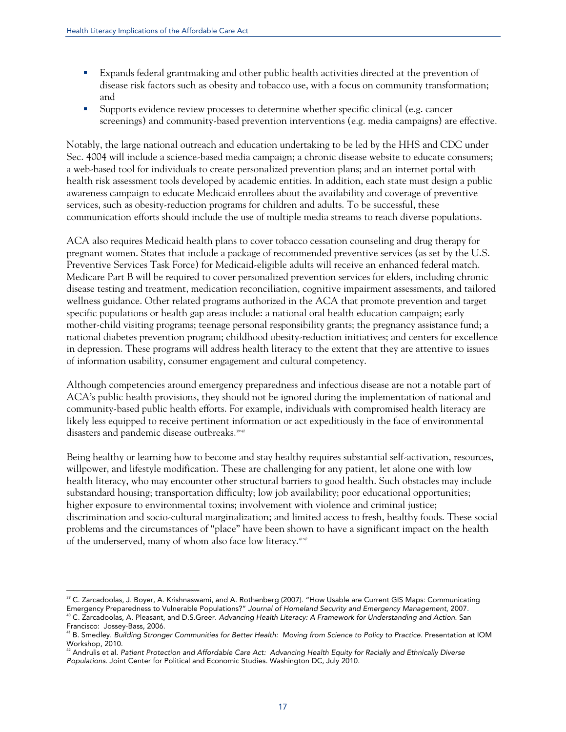- Expands federal grantmaking and other public health activities directed at the prevention of disease risk factors such as obesity and tobacco use, with a focus on community transformation; and
- Supports evidence review processes to determine whether specific clinical (e.g. cancer screenings) and community-based prevention interventions (e.g. media campaigns) are effective.

Notably, the large national outreach and education undertaking to be led by the HHS and CDC under Sec. 4004 will include a science-based media campaign; a chronic disease website to educate consumers; a web-based tool for individuals to create personalized prevention plans; and an internet portal with health risk assessment tools developed by academic entities. In addition, each state must design a public awareness campaign to educate Medicaid enrollees about the availability and coverage of preventive services, such as obesity-reduction programs for children and adults. To be successful, these communication efforts should include the use of multiple media streams to reach diverse populations.

ACA also requires Medicaid health plans to cover tobacco cessation counseling and drug therapy for pregnant women. States that include a package of recommended preventive services (as set by the U.S. Preventive Services Task Force) for Medicaid-eligible adults will receive an enhanced federal match. Medicare Part B will be required to cover personalized prevention services for elders, including chronic disease testing and treatment, medication reconciliation, cognitive impairment assessments, and tailored wellness guidance. Other related programs authorized in the ACA that promote prevention and target specific populations or health gap areas include: a national oral health education campaign; early mother-child visiting programs; teenage personal responsibility grants; the pregnancy assistance fund; a national diabetes prevention program; childhood obesity-reduction initiatives; and centers for excellence in depression. These programs will address health literacy to the extent that they are attentive to issues of information usability, consumer engagement and cultural competency.

Although competencies around emergency preparedness and infectious disease are not a notable part of ACA's public health provisions, they should not be ignored during the implementation of national and community-based public health efforts. For example, individuals with compromised health literacy are likely less equipped to receive pertinent information or act expeditiously in the face of environmental disasters and pandemic disease outbreaks.<sup>3940</sup>

Being healthy or learning how to become and stay healthy requires substantial self-activation, resources, willpower, and lifestyle modification. These are challenging for any patient, let alone one with low health literacy, who may encounter other structural barriers to good health. Such obstacles may include substandard housing; transportation difficulty; low job availability; poor educational opportunities; higher exposure to environmental toxins; involvement with violence and criminal justice; discrimination and socio-cultural marginalization; and limited access to fresh, healthy foods. These social problems and the circumstances of "place" have been shown to have a significant impact on the health of the underserved, many of whom also face low literacy.<sup>4142</sup>

<sup>1</sup>  $^{39}$  C. Zarcadoolas, J. Boyer, A. Krishnaswami, and A. Rothenberg (2007). "How Usable are Current GIS Maps: Communicating Emergency Preparedness to Vulnerable Populations?" Journal of Homeland Security and Emergency Management, 2007.<br><sup>40</sup> C. Zarcadoolas, A. Pleasant, and D.S.Greer. Advancing Health Literacy: A Framework for Understanding and

Francisco: Jossey-Bass, 2006.

<sup>41</sup> B. Smedley. *Building Stronger Communities for Better Health: Moving from Science to Policy to Practice.* Presentation at IOM Workshop, 2010.

<sup>42</sup> Andrulis et al. *Patient Protection and Affordable Care Act: Advancing Health Equity for Racially and Ethnically Diverse Populations*. Joint Center for Political and Economic Studies. Washington DC, July 2010.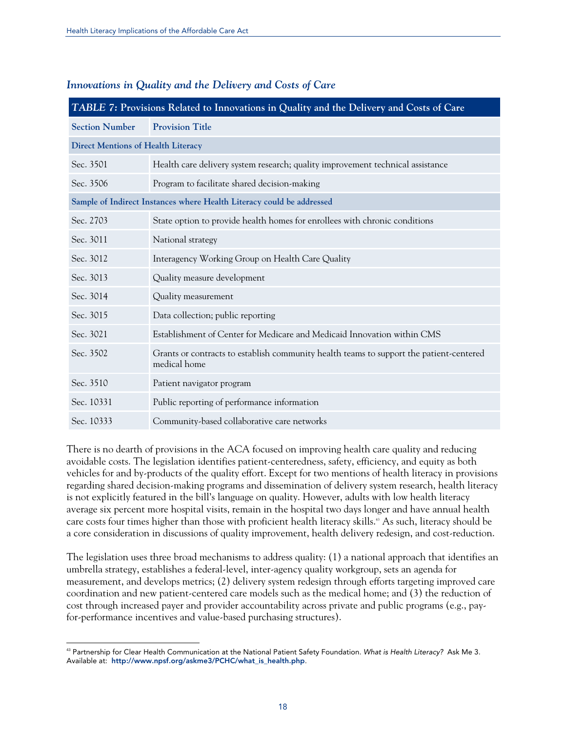| TABLE 7: Provisions Related to Innovations in Quality and the Delivery and Costs of Care |                                                                                                         |  |
|------------------------------------------------------------------------------------------|---------------------------------------------------------------------------------------------------------|--|
| <b>Section Number</b>                                                                    | <b>Provision Title</b>                                                                                  |  |
| <b>Direct Mentions of Health Literacy</b>                                                |                                                                                                         |  |
| Sec. 3501                                                                                | Health care delivery system research; quality improvement technical assistance                          |  |
| Sec. 3506                                                                                | Program to facilitate shared decision-making                                                            |  |
| Sample of Indirect Instances where Health Literacy could be addressed                    |                                                                                                         |  |
| Sec. 2703                                                                                | State option to provide health homes for enrollees with chronic conditions                              |  |
| Sec. 3011                                                                                | National strategy                                                                                       |  |
| Sec. 3012                                                                                | Interagency Working Group on Health Care Quality                                                        |  |
| Sec. 3013                                                                                | Quality measure development                                                                             |  |
| Sec. 3014                                                                                | Quality measurement                                                                                     |  |
| Sec. 3015                                                                                | Data collection; public reporting                                                                       |  |
| Sec. 3021                                                                                | Establishment of Center for Medicare and Medicaid Innovation within CMS                                 |  |
| Sec. 3502                                                                                | Grants or contracts to establish community health teams to support the patient-centered<br>medical home |  |
| Sec. 3510                                                                                | Patient navigator program                                                                               |  |
| Sec. 10331                                                                               | Public reporting of performance information                                                             |  |
| Sec. 10333                                                                               | Community-based collaborative care networks                                                             |  |

#### *Innovations in Quality and the Delivery and Costs of Care*

There is no dearth of provisions in the ACA focused on improving health care quality and reducing avoidable costs. The legislation identifies patient-centeredness, safety, efficiency, and equity as both vehicles for and by-products of the quality effort. Except for two mentions of health literacy in provisions regarding shared decision-making programs and dissemination of delivery system research, health literacy is not explicitly featured in the bill's language on quality. However, adults with low health literacy average six percent more hospital visits, remain in the hospital two days longer and have annual health care costs four times higher than those with proficient health literacy skills.<sup>43</sup> As such, literacy should be a core consideration in discussions of quality improvement, health delivery redesign, and cost-reduction.

The legislation uses three broad mechanisms to address quality: (1) a national approach that identifies an umbrella strategy, establishes a federal-level, inter-agency quality workgroup, sets an agenda for measurement, and develops metrics; (2) delivery system redesign through efforts targeting improved care coordination and new patient-centered care models such as the medical home; and (3) the reduction of cost through increased payer and provider accountability across private and public programs (e.g., payfor-performance incentives and value-based purchasing structures).

<sup>-</sup>43 Partnership for Clear Health Communication at the National Patient Safety Foundation. *What is Health Literacy?* Ask Me 3*.*  Available at: http://www.npsf.org/askme3/PCHC/what\_is\_health.php.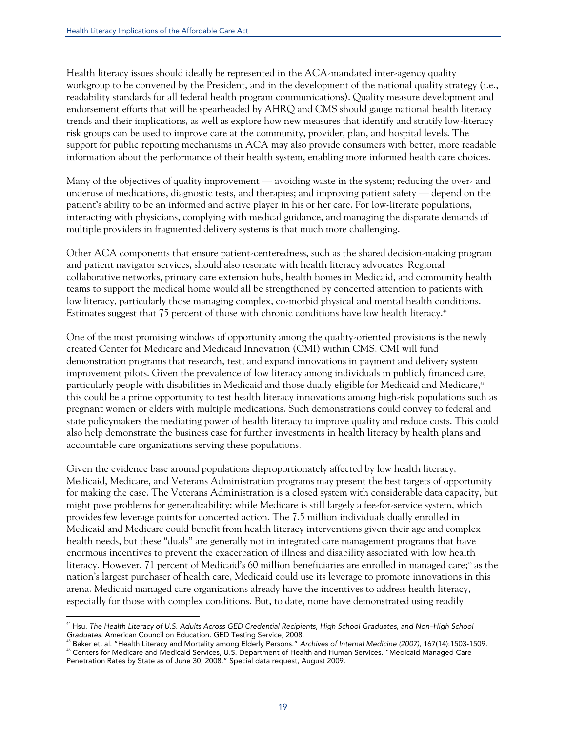Health literacy issues should ideally be represented in the ACA-mandated inter-agency quality workgroup to be convened by the President, and in the development of the national quality strategy (i.e., readability standards for all federal health program communications). Quality measure development and endorsement efforts that will be spearheaded by AHRQ and CMS should gauge national health literacy trends and their implications, as well as explore how new measures that identify and stratify low-literacy risk groups can be used to improve care at the community, provider, plan, and hospital levels. The support for public reporting mechanisms in ACA may also provide consumers with better, more readable information about the performance of their health system, enabling more informed health care choices.

Many of the objectives of quality improvement — avoiding waste in the system; reducing the over- and underuse of medications, diagnostic tests, and therapies; and improving patient safety — depend on the patient's ability to be an informed and active player in his or her care. For low-literate populations, interacting with physicians, complying with medical guidance, and managing the disparate demands of multiple providers in fragmented delivery systems is that much more challenging.

Other ACA components that ensure patient-centeredness, such as the shared decision-making program and patient navigator services, should also resonate with health literacy advocates. Regional collaborative networks, primary care extension hubs, health homes in Medicaid, and community health teams to support the medical home would all be strengthened by concerted attention to patients with low literacy, particularly those managing complex, co-morbid physical and mental health conditions. Estimates suggest that 75 percent of those with chronic conditions have low health literacy.<sup>44</sup>

One of the most promising windows of opportunity among the quality-oriented provisions is the newly created Center for Medicare and Medicaid Innovation (CMI) within CMS. CMI will fund demonstration programs that research, test, and expand innovations in payment and delivery system improvement pilots. Given the prevalence of low literacy among individuals in publicly financed care, particularly people with disabilities in Medicaid and those dually eligible for Medicaid and Medicare,<sup>45</sup> this could be a prime opportunity to test health literacy innovations among high-risk populations such as pregnant women or elders with multiple medications. Such demonstrations could convey to federal and state policymakers the mediating power of health literacy to improve quality and reduce costs. This could also help demonstrate the business case for further investments in health literacy by health plans and accountable care organizations serving these populations.

Given the evidence base around populations disproportionately affected by low health literacy, Medicaid, Medicare, and Veterans Administration programs may present the best targets of opportunity for making the case. The Veterans Administration is a closed system with considerable data capacity, but might pose problems for generalizability; while Medicare is still largely a fee-for-service system, which provides few leverage points for concerted action. The 7.5 million individuals dually enrolled in Medicaid and Medicare could benefit from health literacy interventions given their age and complex health needs, but these "duals" are generally not in integrated care management programs that have enormous incentives to prevent the exacerbation of illness and disability associated with low health literacy. However, 71 percent of Medicaid's 60 million beneficiaries are enrolled in managed care;<sup>46</sup> as the nation's largest purchaser of health care, Medicaid could use its leverage to promote innovations in this arena. Medicaid managed care organizations already have the incentives to address health literacy, especially for those with complex conditions. But, to date, none have demonstrated using readily

<sup>-</sup>44 Hsu. *The Health Literacy of U.S. Adults Across GED Credential Recipients, High School Graduates, and Non–High School Graduates.* American Council on Education. GED Testing Service, 2008.

<sup>&</sup>lt;sup>46</sup> Centers for Medicare and Medicaid Services, U.S. Department of Health and Human Services. "Medicaid Managed Care Penetration Rates by State as of June 30, 2008." Special data request, August 2009.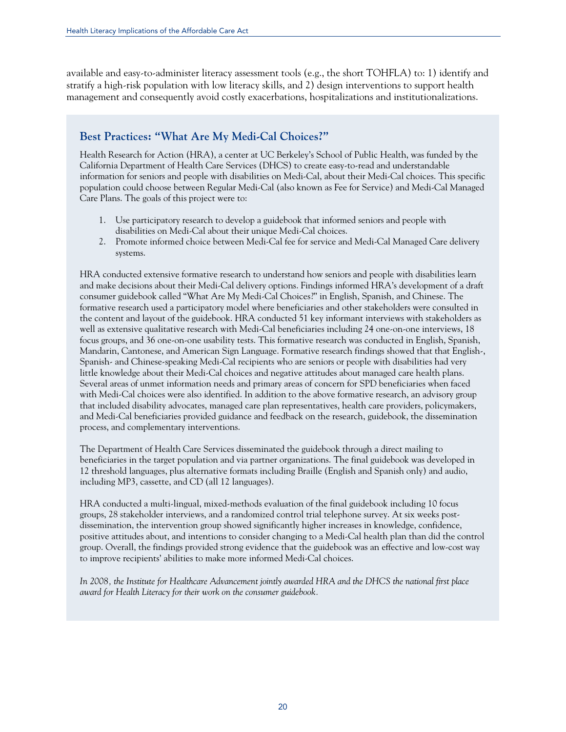available and easy-to-administer literacy assessment tools (e.g., the short TOHFLA) to: 1) identify and stratify a high-risk population with low literacy skills, and 2) design interventions to support health management and consequently avoid costly exacerbations, hospitalizations and institutionalizations.

### **Best Practices: "What Are My Medi-Cal Choices?"**

Health Research for Action (HRA), a center at UC Berkeley's School of Public Health, was funded by the California Department of Health Care Services (DHCS) to create easy-to-read and understandable information for seniors and people with disabilities on Medi-Cal, about their Medi-Cal choices. This specific population could choose between Regular Medi-Cal (also known as Fee for Service) and Medi-Cal Managed Care Plans. The goals of this project were to:

- 1. Use participatory research to develop a guidebook that informed seniors and people with disabilities on Medi-Cal about their unique Medi-Cal choices.
- 2. Promote informed choice between Medi-Cal fee for service and Medi-Cal Managed Care delivery systems.

HRA conducted extensive formative research to understand how seniors and people with disabilities learn and make decisions about their Medi-Cal delivery options. Findings informed HRA's development of a draft consumer guidebook called "What Are My Medi-Cal Choices?" in English, Spanish, and Chinese. The formative research used a participatory model where beneficiaries and other stakeholders were consulted in the content and layout of the guidebook. HRA conducted 51 key informant interviews with stakeholders as well as extensive qualitative research with Medi-Cal beneficiaries including 24 one-on-one interviews, 18 focus groups, and 36 one-on-one usability tests. This formative research was conducted in English, Spanish, Mandarin, Cantonese, and American Sign Language. Formative research findings showed that that English-, Spanish- and Chinese-speaking Medi-Cal recipients who are seniors or people with disabilities had very little knowledge about their Medi-Cal choices and negative attitudes about managed care health plans. Several areas of unmet information needs and primary areas of concern for SPD beneficiaries when faced with Medi-Cal choices were also identified. In addition to the above formative research, an advisory group that included disability advocates, managed care plan representatives, health care providers, policymakers, and Medi-Cal beneficiaries provided guidance and feedback on the research, guidebook, the dissemination process, and complementary interventions.

The Department of Health Care Services disseminated the guidebook through a direct mailing to beneficiaries in the target population and via partner organizations. The final guidebook was developed in 12 threshold languages, plus alternative formats including Braille (English and Spanish only) and audio, including MP3, cassette, and CD (all 12 languages).

HRA conducted a multi-lingual, mixed-methods evaluation of the final guidebook including 10 focus groups, 28 stakeholder interviews, and a randomized control trial telephone survey. At six weeks postdissemination, the intervention group showed significantly higher increases in knowledge, confidence, positive attitudes about, and intentions to consider changing to a Medi-Cal health plan than did the control group. Overall, the findings provided strong evidence that the guidebook was an effective and low-cost way to improve recipients' abilities to make more informed Medi-Cal choices.

*In 2008, the Institute for Healthcare Advancement jointly awarded HRA and the DHCS the national first place award for Health Literacy for their work on the consumer guidebook.*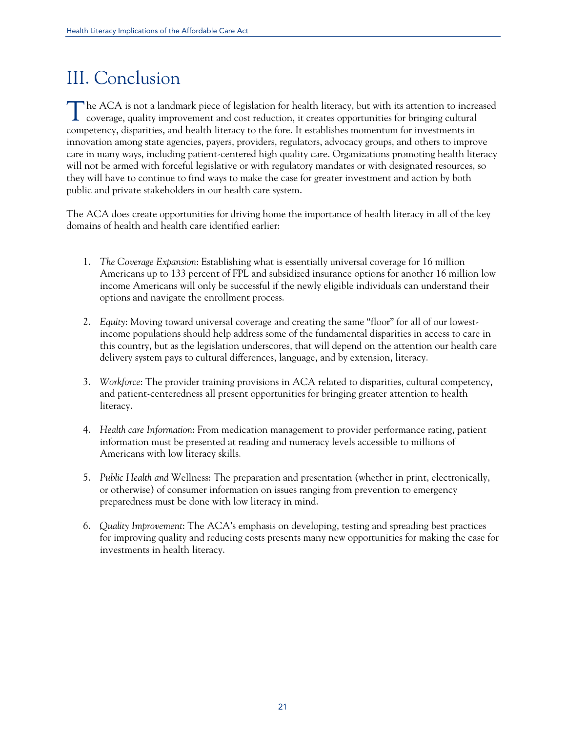## III. Conclusion

The ACA is not a landmark piece of legislation for health literacy, but with its attention to increased coverage, quality improvement and cost reduction, it creates opportunities for bringing cultural coverage, quality improvement and cost reduction, it creates opportunities for bringing cultural competency, disparities, and health literacy to the fore. It establishes momentum for investments in innovation among state agencies, payers, providers, regulators, advocacy groups, and others to improve care in many ways, including patient-centered high quality care. Organizations promoting health literacy will not be armed with forceful legislative or with regulatory mandates or with designated resources, so they will have to continue to find ways to make the case for greater investment and action by both public and private stakeholders in our health care system.

The ACA does create opportunities for driving home the importance of health literacy in all of the key domains of health and health care identified earlier:

- 1. *The Coverage Expansion*: Establishing what is essentially universal coverage for 16 million Americans up to 133 percent of FPL and subsidized insurance options for another 16 million low income Americans will only be successful if the newly eligible individuals can understand their options and navigate the enrollment process.
- 2. *Equity*: Moving toward universal coverage and creating the same "floor" for all of our lowestincome populations should help address some of the fundamental disparities in access to care in this country, but as the legislation underscores, that will depend on the attention our health care delivery system pays to cultural differences, language, and by extension, literacy.
- 3. *Workforce*: The provider training provisions in ACA related to disparities, cultural competency, and patient-centeredness all present opportunities for bringing greater attention to health literacy.
- 4. *Health care Information*: From medication management to provider performance rating, patient information must be presented at reading and numeracy levels accessible to millions of Americans with low literacy skills.
- 5. *Public Health and* Wellness: The preparation and presentation (whether in print, electronically, or otherwise) of consumer information on issues ranging from prevention to emergency preparedness must be done with low literacy in mind.
- 6. *Quality Improvement*: The ACA's emphasis on developing, testing and spreading best practices for improving quality and reducing costs presents many new opportunities for making the case for investments in health literacy.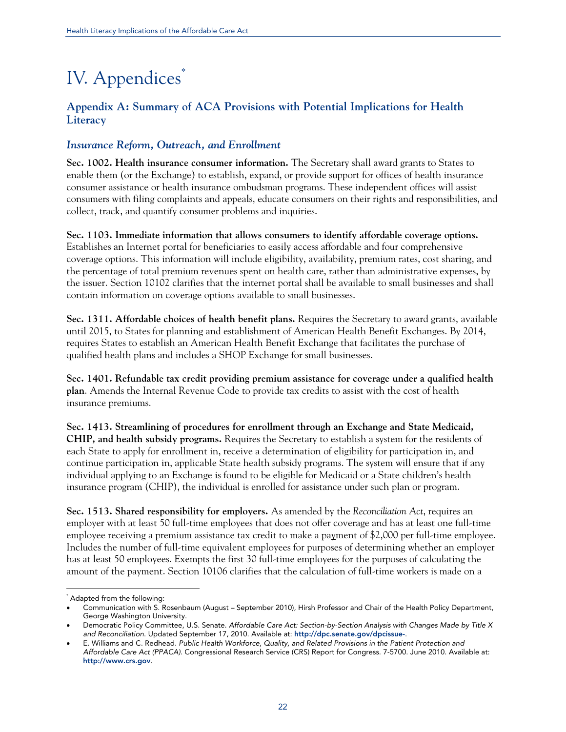## IV. Appendices<sup>\*</sup>

## **Appendix A: Summary of ACA Provisions with Potential Implications for Health Literacy**

### *Insurance Reform, Outreach, and Enrollment*

**Sec. 1002. Health insurance consumer information.** The Secretary shall award grants to States to enable them (or the Exchange) to establish, expand, or provide support for offices of health insurance consumer assistance or health insurance ombudsman programs. These independent offices will assist consumers with filing complaints and appeals, educate consumers on their rights and responsibilities, and collect, track, and quantify consumer problems and inquiries.

**Sec. 1103. Immediate information that allows consumers to identify affordable coverage options.**  Establishes an Internet portal for beneficiaries to easily access affordable and four comprehensive coverage options. This information will include eligibility, availability, premium rates, cost sharing, and the percentage of total premium revenues spent on health care, rather than administrative expenses, by the issuer. Section 10102 clarifies that the internet portal shall be available to small businesses and shall contain information on coverage options available to small businesses.

**Sec. 1311. Affordable choices of health benefit plans.** Requires the Secretary to award grants, available until 2015, to States for planning and establishment of American Health Benefit Exchanges. By 2014, requires States to establish an American Health Benefit Exchange that facilitates the purchase of qualified health plans and includes a SHOP Exchange for small businesses.

**Sec. 1401. Refundable tax credit providing premium assistance for coverage under a qualified health plan**. Amends the Internal Revenue Code to provide tax credits to assist with the cost of health insurance premiums.

**Sec. 1413. Streamlining of procedures for enrollment through an Exchange and State Medicaid, CHIP, and health subsidy programs.** Requires the Secretary to establish a system for the residents of each State to apply for enrollment in, receive a determination of eligibility for participation in, and continue participation in, applicable State health subsidy programs. The system will ensure that if any individual applying to an Exchange is found to be eligible for Medicaid or a State children's health insurance program (CHIP), the individual is enrolled for assistance under such plan or program.

**Sec. 1513. Shared responsibility for employers.** As amended by the *Reconciliation Act*, requires an employer with at least 50 full-time employees that does not offer coverage and has at least one full-time employee receiving a premium assistance tax credit to make a payment of \$2,000 per full-time employee. Includes the number of full-time equivalent employees for purposes of determining whether an employer has at least 50 employees. Exempts the first 30 full-time employees for the purposes of calculating the amount of the payment. Section 10106 clarifies that the calculation of full-time workers is made on a

1

<sup>\*</sup> Adapted from the following:

<sup>•</sup> Communication with S. Rosenbaum (August – September 2010), Hirsh Professor and Chair of the Health Policy Department, George Washington University.

<sup>•</sup> Democratic Policy Committee, U.S. Senate. *Affordable Care Act: Section-by-Section Analysis with Changes Made by Title X and Reconciliation*. Updated September 17, 2010. Available at: http://dpc.senate.gov/dpcissue-.

<sup>•</sup> E. Williams and C. Redhead. *Public Health Workforce, Quality, and Related Provisions in the Patient Protection and Affordable Care Act (PPACA).* Congressional Research Service (CRS) Report for Congress. 7-5700. June 2010. Available at: http://www.crs.gov.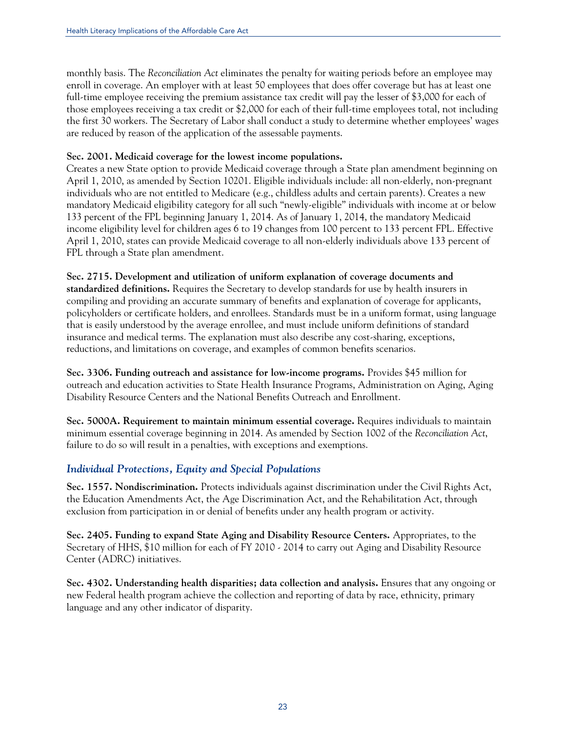monthly basis. The *Reconciliation Act* eliminates the penalty for waiting periods before an employee may enroll in coverage. An employer with at least 50 employees that does offer coverage but has at least one full-time employee receiving the premium assistance tax credit will pay the lesser of \$3,000 for each of those employees receiving a tax credit or \$2,000 for each of their full-time employees total, not including the first 30 workers. The Secretary of Labor shall conduct a study to determine whether employees' wages are reduced by reason of the application of the assessable payments.

#### **Sec. 2001. Medicaid coverage for the lowest income populations.**

Creates a new State option to provide Medicaid coverage through a State plan amendment beginning on April 1, 2010, as amended by Section 10201. Eligible individuals include: all non-elderly, non-pregnant individuals who are not entitled to Medicare (e.g., childless adults and certain parents). Creates a new mandatory Medicaid eligibility category for all such "newly-eligible" individuals with income at or below 133 percent of the FPL beginning January 1, 2014. As of January 1, 2014, the mandatory Medicaid income eligibility level for children ages 6 to 19 changes from 100 percent to 133 percent FPL. Effective April 1, 2010, states can provide Medicaid coverage to all non-elderly individuals above 133 percent of FPL through a State plan amendment.

**Sec. 2715. Development and utilization of uniform explanation of coverage documents and standardized definitions.** Requires the Secretary to develop standards for use by health insurers in compiling and providing an accurate summary of benefits and explanation of coverage for applicants, policyholders or certificate holders, and enrollees. Standards must be in a uniform format, using language that is easily understood by the average enrollee, and must include uniform definitions of standard insurance and medical terms. The explanation must also describe any cost-sharing, exceptions, reductions, and limitations on coverage, and examples of common benefits scenarios.

**Sec. 3306. Funding outreach and assistance for low-income programs.** Provides \$45 million for outreach and education activities to State Health Insurance Programs, Administration on Aging, Aging Disability Resource Centers and the National Benefits Outreach and Enrollment.

**Sec. 5000A. Requirement to maintain minimum essential coverage.** Requires individuals to maintain minimum essential coverage beginning in 2014. As amended by Section 1002 of the *Reconciliation Act*, failure to do so will result in a penalties, with exceptions and exemptions.

### *Individual Protections, Equity and Special Populations*

**Sec. 1557. Nondiscrimination.** Protects individuals against discrimination under the Civil Rights Act, the Education Amendments Act, the Age Discrimination Act, and the Rehabilitation Act, through exclusion from participation in or denial of benefits under any health program or activity.

**Sec. 2405. Funding to expand State Aging and Disability Resource Centers.** Appropriates, to the Secretary of HHS, \$10 million for each of FY 2010 - 2014 to carry out Aging and Disability Resource Center (ADRC) initiatives.

**Sec. 4302. Understanding health disparities; data collection and analysis.** Ensures that any ongoing or new Federal health program achieve the collection and reporting of data by race, ethnicity, primary language and any other indicator of disparity.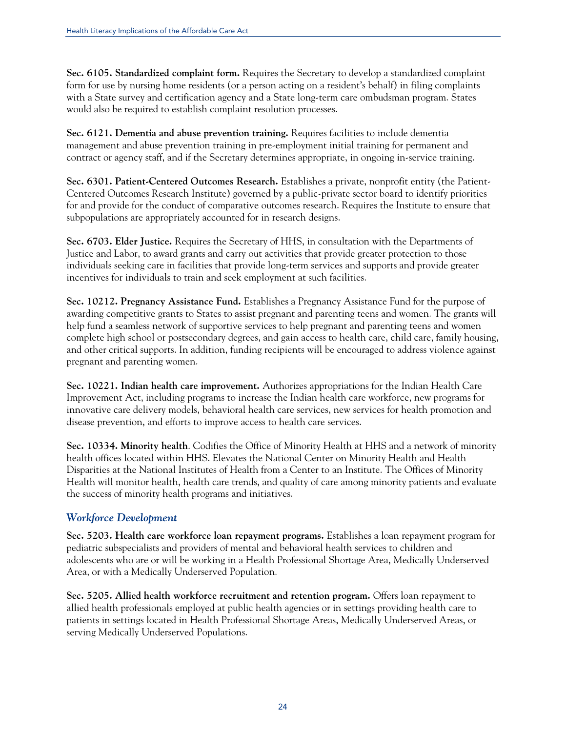**Sec. 6105. Standardized complaint form.** Requires the Secretary to develop a standardized complaint form for use by nursing home residents (or a person acting on a resident's behalf) in filing complaints with a State survey and certification agency and a State long-term care ombudsman program. States would also be required to establish complaint resolution processes.

**Sec. 6121. Dementia and abuse prevention training.** Requires facilities to include dementia management and abuse prevention training in pre-employment initial training for permanent and contract or agency staff, and if the Secretary determines appropriate, in ongoing in-service training.

**Sec. 6301. Patient-Centered Outcomes Research.** Establishes a private, nonprofit entity (the Patient-Centered Outcomes Research Institute) governed by a public-private sector board to identify priorities for and provide for the conduct of comparative outcomes research. Requires the Institute to ensure that subpopulations are appropriately accounted for in research designs.

**Sec. 6703. Elder Justice.** Requires the Secretary of HHS, in consultation with the Departments of Justice and Labor, to award grants and carry out activities that provide greater protection to those individuals seeking care in facilities that provide long-term services and supports and provide greater incentives for individuals to train and seek employment at such facilities.

**Sec. 10212. Pregnancy Assistance Fund.** Establishes a Pregnancy Assistance Fund for the purpose of awarding competitive grants to States to assist pregnant and parenting teens and women. The grants will help fund a seamless network of supportive services to help pregnant and parenting teens and women complete high school or postsecondary degrees, and gain access to health care, child care, family housing, and other critical supports. In addition, funding recipients will be encouraged to address violence against pregnant and parenting women.

**Sec. 10221. Indian health care improvement.** Authorizes appropriations for the Indian Health Care Improvement Act, including programs to increase the Indian health care workforce, new programs for innovative care delivery models, behavioral health care services, new services for health promotion and disease prevention, and efforts to improve access to health care services.

**Sec. 10334. Minority health**. Codifies the Office of Minority Health at HHS and a network of minority health offices located within HHS. Elevates the National Center on Minority Health and Health Disparities at the National Institutes of Health from a Center to an Institute. The Offices of Minority Health will monitor health, health care trends, and quality of care among minority patients and evaluate the success of minority health programs and initiatives.

### *Workforce Development*

**Sec. 5203. Health care workforce loan repayment programs.** Establishes a loan repayment program for pediatric subspecialists and providers of mental and behavioral health services to children and adolescents who are or will be working in a Health Professional Shortage Area, Medically Underserved Area, or with a Medically Underserved Population.

**Sec. 5205. Allied health workforce recruitment and retention program.** Offers loan repayment to allied health professionals employed at public health agencies or in settings providing health care to patients in settings located in Health Professional Shortage Areas, Medically Underserved Areas, or serving Medically Underserved Populations.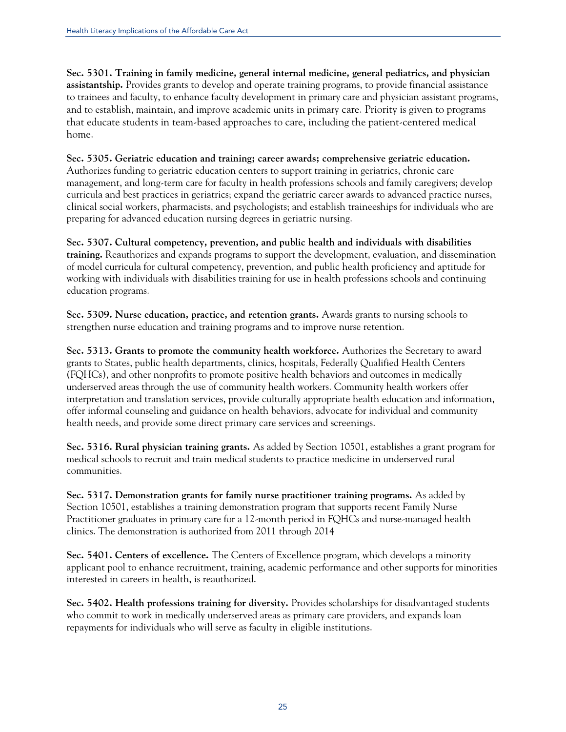**Sec. 5301. Training in family medicine, general internal medicine, general pediatrics, and physician assistantship.** Provides grants to develop and operate training programs, to provide financial assistance to trainees and faculty, to enhance faculty development in primary care and physician assistant programs, and to establish, maintain, and improve academic units in primary care. Priority is given to programs that educate students in team-based approaches to care, including the patient-centered medical home.

**Sec. 5305. Geriatric education and training; career awards; comprehensive geriatric education.**  Authorizes funding to geriatric education centers to support training in geriatrics, chronic care management, and long-term care for faculty in health professions schools and family caregivers; develop curricula and best practices in geriatrics; expand the geriatric career awards to advanced practice nurses, clinical social workers, pharmacists, and psychologists; and establish traineeships for individuals who are preparing for advanced education nursing degrees in geriatric nursing.

**Sec. 5307. Cultural competency, prevention, and public health and individuals with disabilities training.** Reauthorizes and expands programs to support the development, evaluation, and dissemination of model curricula for cultural competency, prevention, and public health proficiency and aptitude for working with individuals with disabilities training for use in health professions schools and continuing education programs.

**Sec. 5309. Nurse education, practice, and retention grants.** Awards grants to nursing schools to strengthen nurse education and training programs and to improve nurse retention.

**Sec. 5313. Grants to promote the community health workforce.** Authorizes the Secretary to award grants to States, public health departments, clinics, hospitals, Federally Qualified Health Centers (FQHCs), and other nonprofits to promote positive health behaviors and outcomes in medically underserved areas through the use of community health workers. Community health workers offer interpretation and translation services, provide culturally appropriate health education and information, offer informal counseling and guidance on health behaviors, advocate for individual and community health needs, and provide some direct primary care services and screenings.

**Sec. 5316. Rural physician training grants.** As added by Section 10501, establishes a grant program for medical schools to recruit and train medical students to practice medicine in underserved rural communities.

**Sec. 5317. Demonstration grants for family nurse practitioner training programs.** As added by Section 10501, establishes a training demonstration program that supports recent Family Nurse Practitioner graduates in primary care for a 12-month period in FQHCs and nurse-managed health clinics. The demonstration is authorized from 2011 through 2014

**Sec. 5401. Centers of excellence.** The Centers of Excellence program, which develops a minority applicant pool to enhance recruitment, training, academic performance and other supports for minorities interested in careers in health, is reauthorized.

**Sec. 5402. Health professions training for diversity.** Provides scholarships for disadvantaged students who commit to work in medically underserved areas as primary care providers, and expands loan repayments for individuals who will serve as faculty in eligible institutions.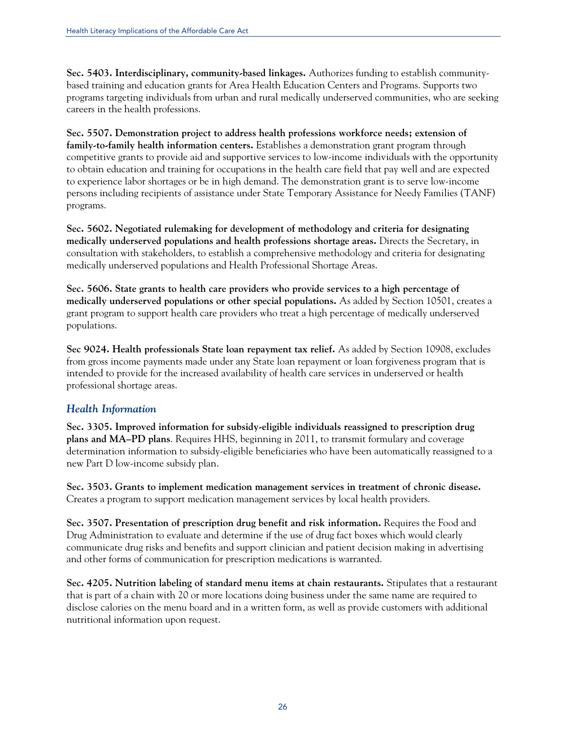**Sec. 5403. Interdisciplinary, community-based linkages.** Authorizes funding to establish communitybased training and education grants for Area Health Education Centers and Programs. Supports two programs targeting individuals from urban and rural medically underserved communities, who are seeking careers in the health professions.

**Sec. 5507. Demonstration project to address health professions workforce needs; extension of family-to-family health information centers.** Establishes a demonstration grant program through competitive grants to provide aid and supportive services to low-income individuals with the opportunity to obtain education and training for occupations in the health care field that pay well and are expected to experience labor shortages or be in high demand. The demonstration grant is to serve low-income persons including recipients of assistance under State Temporary Assistance for Needy Families (TANF) programs.

**Sec. 5602. Negotiated rulemaking for development of methodology and criteria for designating medically underserved populations and health professions shortage areas.** Directs the Secretary, in consultation with stakeholders, to establish a comprehensive methodology and criteria for designating medically underserved populations and Health Professional Shortage Areas.

**Sec. 5606. State grants to health care providers who provide services to a high percentage of medically underserved populations or other special populations.** As added by Section 10501, creates a grant program to support health care providers who treat a high percentage of medically underserved populations.

**Sec 9024. Health professionals State loan repayment tax relief.** As added by Section 10908, excludes from gross income payments made under any State loan repayment or loan forgiveness program that is intended to provide for the increased availability of health care services in underserved or health professional shortage areas.

### *Health Information*

**Sec. 3305. Improved information for subsidy-eligible individuals reassigned to prescription drug plans and MA–PD plans**. Requires HHS, beginning in 2011, to transmit formulary and coverage determination information to subsidy-eligible beneficiaries who have been automatically reassigned to a new Part D low-income subsidy plan.

**Sec. 3503. Grants to implement medication management services in treatment of chronic disease.**  Creates a program to support medication management services by local health providers.

**Sec. 3507. Presentation of prescription drug benefit and risk information.** Requires the Food and Drug Administration to evaluate and determine if the use of drug fact boxes which would clearly communicate drug risks and benefits and support clinician and patient decision making in advertising and other forms of communication for prescription medications is warranted.

**Sec. 4205. Nutrition labeling of standard menu items at chain restaurants.** Stipulates that a restaurant that is part of a chain with 20 or more locations doing business under the same name are required to disclose calories on the menu board and in a written form, as well as provide customers with additional nutritional information upon request.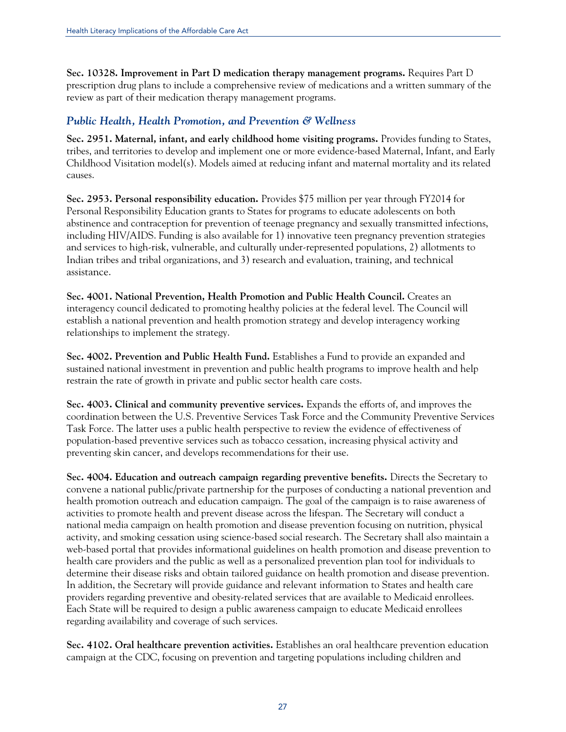**Sec. 10328. Improvement in Part D medication therapy management programs.** Requires Part D prescription drug plans to include a comprehensive review of medications and a written summary of the review as part of their medication therapy management programs.

### *Public Health, Health Promotion, and Prevention & Wellness*

**Sec. 2951. Maternal, infant, and early childhood home visiting programs.** Provides funding to States, tribes, and territories to develop and implement one or more evidence-based Maternal, Infant, and Early Childhood Visitation model(s). Models aimed at reducing infant and maternal mortality and its related causes.

**Sec. 2953. Personal responsibility education.** Provides \$75 million per year through FY2014 for Personal Responsibility Education grants to States for programs to educate adolescents on both abstinence and contraception for prevention of teenage pregnancy and sexually transmitted infections, including HIV/AIDS. Funding is also available for 1) innovative teen pregnancy prevention strategies and services to high-risk, vulnerable, and culturally under-represented populations, 2) allotments to Indian tribes and tribal organizations, and 3) research and evaluation, training, and technical assistance.

**Sec. 4001. National Prevention, Health Promotion and Public Health Council.** Creates an interagency council dedicated to promoting healthy policies at the federal level. The Council will establish a national prevention and health promotion strategy and develop interagency working relationships to implement the strategy.

**Sec. 4002. Prevention and Public Health Fund.** Establishes a Fund to provide an expanded and sustained national investment in prevention and public health programs to improve health and help restrain the rate of growth in private and public sector health care costs.

**Sec. 4003. Clinical and community preventive services.** Expands the efforts of, and improves the coordination between the U.S. Preventive Services Task Force and the Community Preventive Services Task Force. The latter uses a public health perspective to review the evidence of effectiveness of population-based preventive services such as tobacco cessation, increasing physical activity and preventing skin cancer, and develops recommendations for their use.

**Sec. 4004. Education and outreach campaign regarding preventive benefits.** Directs the Secretary to convene a national public/private partnership for the purposes of conducting a national prevention and health promotion outreach and education campaign. The goal of the campaign is to raise awareness of activities to promote health and prevent disease across the lifespan. The Secretary will conduct a national media campaign on health promotion and disease prevention focusing on nutrition, physical activity, and smoking cessation using science-based social research. The Secretary shall also maintain a web-based portal that provides informational guidelines on health promotion and disease prevention to health care providers and the public as well as a personalized prevention plan tool for individuals to determine their disease risks and obtain tailored guidance on health promotion and disease prevention. In addition, the Secretary will provide guidance and relevant information to States and health care providers regarding preventive and obesity-related services that are available to Medicaid enrollees. Each State will be required to design a public awareness campaign to educate Medicaid enrollees regarding availability and coverage of such services.

**Sec. 4102. Oral healthcare prevention activities.** Establishes an oral healthcare prevention education campaign at the CDC, focusing on prevention and targeting populations including children and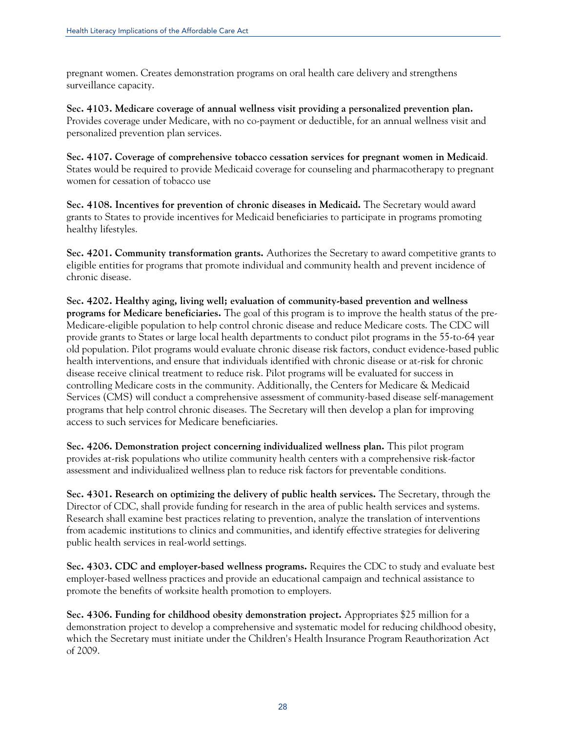pregnant women. Creates demonstration programs on oral health care delivery and strengthens surveillance capacity.

**Sec. 4103. Medicare coverage of annual wellness visit providing a personalized prevention plan.**  Provides coverage under Medicare, with no co-payment or deductible, for an annual wellness visit and personalized prevention plan services.

**Sec. 4107. Coverage of comprehensive tobacco cessation services for pregnant women in Medicaid**. States would be required to provide Medicaid coverage for counseling and pharmacotherapy to pregnant women for cessation of tobacco use

**Sec. 4108. Incentives for prevention of chronic diseases in Medicaid.** The Secretary would award grants to States to provide incentives for Medicaid beneficiaries to participate in programs promoting healthy lifestyles.

**Sec. 4201. Community transformation grants.** Authorizes the Secretary to award competitive grants to eligible entities for programs that promote individual and community health and prevent incidence of chronic disease.

**Sec. 4202. Healthy aging, living well; evaluation of community-based prevention and wellness programs for Medicare beneficiaries.** The goal of this program is to improve the health status of the pre-Medicare-eligible population to help control chronic disease and reduce Medicare costs. The CDC will provide grants to States or large local health departments to conduct pilot programs in the 55-to-64 year old population. Pilot programs would evaluate chronic disease risk factors, conduct evidence-based public health interventions, and ensure that individuals identified with chronic disease or at-risk for chronic disease receive clinical treatment to reduce risk. Pilot programs will be evaluated for success in controlling Medicare costs in the community. Additionally, the Centers for Medicare & Medicaid Services (CMS) will conduct a comprehensive assessment of community-based disease self-management programs that help control chronic diseases. The Secretary will then develop a plan for improving access to such services for Medicare beneficiaries.

**Sec. 4206. Demonstration project concerning individualized wellness plan.** This pilot program provides at-risk populations who utilize community health centers with a comprehensive risk-factor assessment and individualized wellness plan to reduce risk factors for preventable conditions.

**Sec. 4301. Research on optimizing the delivery of public health services.** The Secretary, through the Director of CDC, shall provide funding for research in the area of public health services and systems. Research shall examine best practices relating to prevention, analyze the translation of interventions from academic institutions to clinics and communities, and identify effective strategies for delivering public health services in real-world settings.

**Sec. 4303. CDC and employer-based wellness programs.** Requires the CDC to study and evaluate best employer-based wellness practices and provide an educational campaign and technical assistance to promote the benefits of worksite health promotion to employers.

**Sec. 4306. Funding for childhood obesity demonstration project.** Appropriates \$25 million for a demonstration project to develop a comprehensive and systematic model for reducing childhood obesity, which the Secretary must initiate under the Children's Health Insurance Program Reauthorization Act of 2009.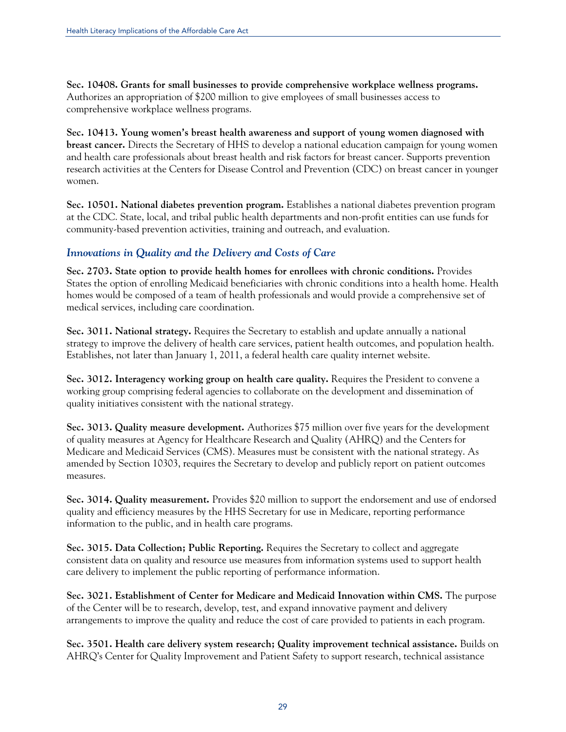**Sec. 10408. Grants for small businesses to provide comprehensive workplace wellness programs.**  Authorizes an appropriation of \$200 million to give employees of small businesses access to comprehensive workplace wellness programs.

**Sec. 10413. Young women's breast health awareness and support of young women diagnosed with breast cancer.** Directs the Secretary of HHS to develop a national education campaign for young women and health care professionals about breast health and risk factors for breast cancer. Supports prevention research activities at the Centers for Disease Control and Prevention (CDC) on breast cancer in younger women.

**Sec. 10501. National diabetes prevention program.** Establishes a national diabetes prevention program at the CDC. State, local, and tribal public health departments and non-profit entities can use funds for community-based prevention activities, training and outreach, and evaluation.

#### *Innovations in Quality and the Delivery and Costs of Care*

**Sec. 2703. State option to provide health homes for enrollees with chronic conditions.** Provides States the option of enrolling Medicaid beneficiaries with chronic conditions into a health home. Health homes would be composed of a team of health professionals and would provide a comprehensive set of medical services, including care coordination.

**Sec. 3011. National strategy.** Requires the Secretary to establish and update annually a national strategy to improve the delivery of health care services, patient health outcomes, and population health. Establishes, not later than January 1, 2011, a federal health care quality internet website.

**Sec. 3012. Interagency working group on health care quality.** Requires the President to convene a working group comprising federal agencies to collaborate on the development and dissemination of quality initiatives consistent with the national strategy.

**Sec. 3013. Quality measure development.** Authorizes \$75 million over five years for the development of quality measures at Agency for Healthcare Research and Quality (AHRQ) and the Centers for Medicare and Medicaid Services (CMS). Measures must be consistent with the national strategy. As amended by Section 10303, requires the Secretary to develop and publicly report on patient outcomes measures.

**Sec. 3014. Quality measurement.** Provides \$20 million to support the endorsement and use of endorsed quality and efficiency measures by the HHS Secretary for use in Medicare, reporting performance information to the public, and in health care programs.

**Sec. 3015. Data Collection; Public Reporting.** Requires the Secretary to collect and aggregate consistent data on quality and resource use measures from information systems used to support health care delivery to implement the public reporting of performance information.

**Sec. 3021. Establishment of Center for Medicare and Medicaid Innovation within CMS.** The purpose of the Center will be to research, develop, test, and expand innovative payment and delivery arrangements to improve the quality and reduce the cost of care provided to patients in each program.

**Sec. 3501. Health care delivery system research; Quality improvement technical assistance.** Builds on AHRQ's Center for Quality Improvement and Patient Safety to support research, technical assistance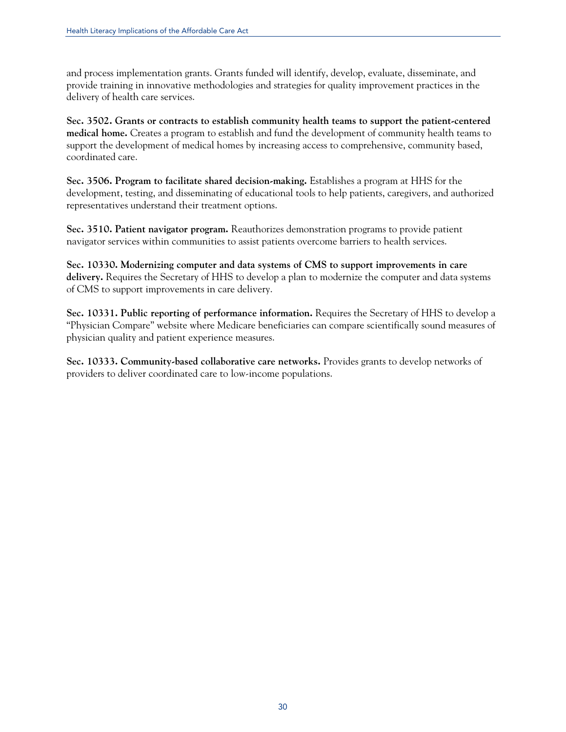and process implementation grants. Grants funded will identify, develop, evaluate, disseminate, and provide training in innovative methodologies and strategies for quality improvement practices in the delivery of health care services.

**Sec. 3502. Grants or contracts to establish community health teams to support the patient-centered medical home.** Creates a program to establish and fund the development of community health teams to support the development of medical homes by increasing access to comprehensive, community based, coordinated care.

**Sec. 3506. Program to facilitate shared decision-making.** Establishes a program at HHS for the development, testing, and disseminating of educational tools to help patients, caregivers, and authorized representatives understand their treatment options.

**Sec. 3510. Patient navigator program.** Reauthorizes demonstration programs to provide patient navigator services within communities to assist patients overcome barriers to health services.

**Sec. 10330. Modernizing computer and data systems of CMS to support improvements in care delivery.** Requires the Secretary of HHS to develop a plan to modernize the computer and data systems of CMS to support improvements in care delivery.

**Sec. 10331. Public reporting of performance information.** Requires the Secretary of HHS to develop a "Physician Compare" website where Medicare beneficiaries can compare scientifically sound measures of physician quality and patient experience measures.

**Sec. 10333. Community-based collaborative care networks.** Provides grants to develop networks of providers to deliver coordinated care to low-income populations.